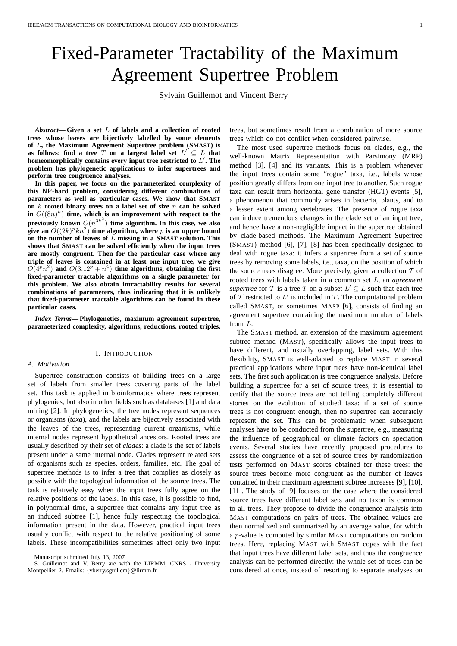# Fixed-Parameter Tractability of the Maximum Agreement Supertree Problem

Sylvain Guillemot and Vincent Berry

*Abstract***— Given a set** L **of labels and a collection of rooted trees whose leaves are bijectively labelled by some elements of** L**, the Maximum Agreement Supertree problem (SMAST) is as follows: find a tree**  $T$  on a largest label set  $L' \subseteq L$  that **homeomorphically contains every input tree restricted to** L ′ **. The problem has phylogenetic applications to infer supertrees and perform tree congruence analyses.**

**In this paper, we focus on the parameterized complexity of this** NP**-hard problem, considering different combinations of parameters as well as particular cases. We show that SMAST on** k **rooted binary trees on a label set of size** n **can be solved** in  $O((8n)^k)$  time, which is an improvement with respect to the previously known  $O(n^{3k^2})$  time algorithm. In this case, we also give an  $O((2k)^p k n^2)$  time algorithm, where p is an upper bound **on the number of leaves of** L **missing in a SMAST solution. This shows that SMAST can be solved efficiently when the input trees are mostly congruent. Then for the particular case where any triple of leaves is contained in at least one input tree, we give**  $O(4^p n^3)$  and  $O(3.12^p + n^4)$  time algorithms, obtaining the first **fixed-parameter tractable algorithms on a single parameter for this problem. We also obtain intractability results for several combinations of parameters, thus indicating that it is unlikely that fixed-parameter tractable algorithms can be found in these particular cases.**

*Index Terms***— Phylogenetics, maximum agreement supertree, parameterized complexity, algorithms, reductions, rooted triples.**

# I. INTRODUCTION *A. Motivation.*

Supertree construction consists of building trees on a large set of labels from smaller trees covering parts of the label set. This task is applied in bioinformatics where trees represent phylogenies, but also in other fields such as databases [1] and data mining [2]. In phylogenetics, the tree nodes represent sequences or organisms (*taxa*), and the labels are bijectively associated with the leaves of the trees, representing current organisms, while internal nodes represent hypothetical ancestors. Rooted trees are usually described by their set of *clades*: a clade is the set of labels present under a same internal node. Clades represent related sets of organisms such as species, orders, families, etc. The goal of supertree methods is to infer a tree that complies as closely as possible with the topological information of the source trees. The task is relatively easy when the input trees fully agree on the relative positions of the labels. In this case, it is possible to find, in polynomial time, a supertree that contains any input tree as an induced subtree [1], hence fully respecting the topological information present in the data. However, practical input trees usually conflict with respect to the relative positioning of some labels. These incompatibilities sometimes affect only two input

Manuscript submitted July 13, 2007

S. Guillemot and V. Berry are with the LIRMM, CNRS - University Montpellier 2. Emails: {vberry,sguillem}@lirmm.fr

trees, but sometimes result from a combination of more source trees which do not conflict when considered pairwise.

The most used supertree methods focus on clades, e.g., the well-known Matrix Representation with Parsimony (MRP) method [3], [4] and its variants. This is a problem whenever the input trees contain some "rogue" taxa, i.e., labels whose position greatly differs from one input tree to another. Such rogue taxa can result from horizontal gene transfer (HGT) events [5], a phenomenon that commonly arises in bacteria, plants, and to a lesser extent among vertebrates. The presence of rogue taxa can induce tremendous changes in the clade set of an input tree, and hence have a non-negligible impact in the supertree obtained by clade-based methods. The Maximum Agreement Supertree (SMAST) method [6], [7], [8] has been specifically designed to deal with rogue taxa: it infers a supertree from a set of source trees by removing some labels, i.e., taxa, on the position of which the source trees disagree. More precisely, given a collection  $T$  of rooted trees with labels taken in a common set L, an *agreement supertree* for  $T$  is a tree  $T$  on a subset  $L' \subseteq L$  such that each tree of  $T$  restricted to  $L'$  is included in  $T$ . The computational problem called SMAST, or sometimes MASP [6], consists of finding an agreement supertree containing the maximum number of labels from L.

The SMAST method, an extension of the maximum agreement subtree method (MAST), specifically allows the input trees to have different, and usually overlapping, label sets. With this flexibility, SMAST is well-adapted to replace MAST in several practical applications where input trees have non-identical label sets. The first such application is tree congruence analysis. Before building a supertree for a set of source trees, it is essential to certify that the source trees are not telling completely different stories on the evolution of studied taxa: if a set of source trees is not congruent enough, then no supertree can accurately represent the set. This can be problematic when subsequent analyses have to be conducted from the supertree, e.g., measuring the influence of geographical or climate factors on speciation events. Several studies have recently proposed procedures to assess the congruence of a set of source trees by randomization tests performed on MAST scores obtained for these trees: the source trees become more congruent as the number of leaves contained in their maximum agreement subtree increases [9], [10], [11]. The study of [9] focuses on the case where the considered source trees have different label sets and no taxon is common to all trees. They propose to divide the congruence analysis into MAST computations on pairs of trees. The obtained values are then normalized and summarized by an average value, for which a p-value is computed by similar MAST computations on random trees. Here, replacing MAST with SMAST copes with the fact that input trees have different label sets, and thus the congruence analysis can be performed directly: the whole set of trees can be considered at once, instead of resorting to separate analyses on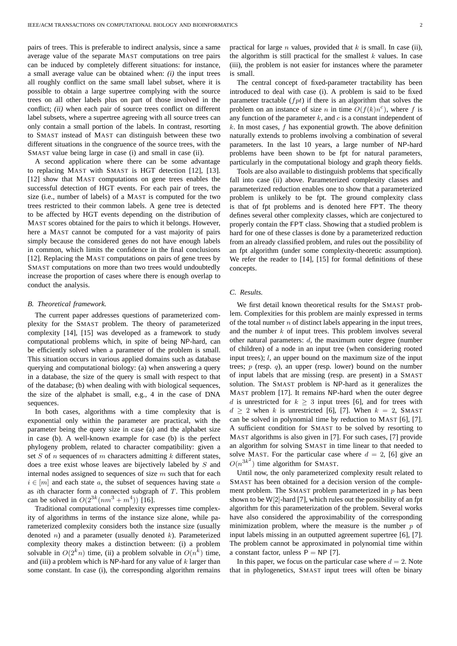pairs of trees. This is preferable to indirect analysis, since a same average value of the separate MAST computations on tree pairs can be induced by completely different situations: for instance, a small average value can be obtained when: *(i)* the input trees all roughly conflict on the same small label subset, where it is possible to obtain a large supertree complying with the source trees on all other labels plus on part of those involved in the conflict; *(ii)* when each pair of source trees conflict on different label subsets, where a supertree agreeing with all source trees can only contain a small portion of the labels. In contrast, resorting to SMAST instead of MAST can distinguish between these two different situations in the congruence of the source trees, with the SMAST value being large in case (i) and small in case (ii).

A second application where there can be some advantage to replacing MAST with SMAST is HGT detection [12], [13]. [12] show that MAST computations on gene trees enables the successful detection of HGT events. For each pair of trees, the size (i.e., number of labels) of a MAST is computed for the two trees restricted to their common labels. A gene tree is detected to be affected by HGT events depending on the distribution of MAST scores obtained for the pairs to which it belongs. However, here a MAST cannot be computed for a vast majority of pairs simply because the considered genes do not have enough labels in common, which limits the confidence in the final conclusions [12]. Replacing the MAST computations on pairs of gene trees by SMAST computations on more than two trees would undoubtedly increase the proportion of cases where there is enough overlap to conduct the analysis.

#### *B. Theoretical framework.*

The current paper addresses questions of parameterized complexity for the SMAST problem. The theory of parameterized complexity [14], [15] was developed as a framework to study computational problems which, in spite of being NP-hard, can be efficiently solved when a parameter of the problem is small. This situation occurs in various applied domains such as database querying and computational biology: (a) when answering a query in a database, the size of the query is small with respect to that of the database; (b) when dealing with with biological sequences, the size of the alphabet is small, e.g., 4 in the case of DNA sequences.

In both cases, algorithms with a time complexity that is exponential only within the parameter are practical, with the parameter being the query size in case (a) and the alphabet size in case (b). A well-known example for case (b) is the perfect phylogeny problem, related to character compatibility: given a set  $S$  of  $n$  sequences of  $m$  characters admitting  $k$  different states, does a tree exist whose leaves are bijectively labeled by S and internal nodes assigned to sequences of size  $m$  such that for each  $i \in [m]$  and each state a, the subset of sequences having state a as *i*th character form a connected subgraph of  $T$ . This problem can be solved in  $O(2^{3k}(nm^3 + m^4))$  [16].

Traditional computational complexity expresses time complexity of algorithms in terms of the instance size alone, while parameterized complexity considers both the instance size (usually denoted  $n$ ) and a parameter (usually denoted  $k$ ). Parameterized complexity theory makes a distinction between: (i) a problem solvable in  $O(2^k n)$  time, (ii) a problem solvable in  $O(n^k)$  time, and (iii) a problem which is NP-hard for any value of  $k$  larger than some constant. In case (i), the corresponding algorithm remains practical for large *n* values, provided that  $k$  is small. In case (ii), the algorithm is still practical for the smallest  $k$  values. In case (iii), the problem is not easier for instances where the parameter is small.

The central concept of fixed-parameter tractability has been introduced to deal with case (i). A problem is said to be fixed parameter tractable  $(fpt)$  if there is an algorithm that solves the problem on an instance of size *n* in time  $O(f(k)n^c)$ , where *f* is any function of the parameter  $k$ , and  $c$  is a constant independent of  $k$ . In most cases,  $f$  has exponential growth. The above definition naturally extends to problems involving a combination of several parameters. In the last 10 years, a large number of NP-hard problems have been shown to be fpt for natural parameters, particularly in the computational biology and graph theory fields.

Tools are also available to distinguish problems that specifically fall into case (ii) above. Parameterized complexity classes and parameterized reduction enables one to show that a parameterized problem is unlikely to be fpt. The ground complexity class is that of fpt problems and is denoted here FPT. The theory defines several other complexity classes, which are conjectured to properly contain the FPT class. Showing that a studied problem is hard for one of these classes is done by a parameterized reduction from an already classified problem, and rules out the possibility of an fpt algorithm (under some complexity-theoretic assumption). We refer the reader to [14], [15] for formal definitions of these concepts.

#### *C. Results.*

We first detail known theoretical results for the SMAST problem. Complexities for this problem are mainly expressed in terms of the total number  $n$  of distinct labels appearing in the input trees, and the number  $k$  of input trees. This problem involves several other natural parameters:  $d$ , the maximum outer degree (number of children) of a node in an input tree (when considering rooted input trees); *l*, an upper bound on the maximum size of the input trees;  $p$  (resp. q), an upper (resp. lower) bound on the number of input labels that are missing (resp. are present) in a SMAST solution. The SMAST problem is NP-hard as it generalizes the MAST problem [17]. It remains NP-hard when the outer degree d is unrestricted for  $k > 3$  input trees [6], and for trees with  $d \geq 2$  when k is unrestricted [6], [7]. When  $k = 2$ , SMAST can be solved in polynomial time by reduction to MAST [6], [7]. A sufficient condition for SMAST to be solved by resorting to MAST algorithms is also given in [7]. For such cases, [7] provide an algorithm for solving SMAST in time linear to that needed to solve MAST. For the particular case where  $d = 2$ , [6] give an  $O(n^{3k^2})$  time algorithm for SMAST.

Until now, the only parameterized complexity result related to SMAST has been obtained for a decision version of the complement problem. The SMAST problem parameterized in  $p$  has been shown to be W[2]-hard [7], which rules out the possibility of an fpt algorithm for this parameterization of the problem. Several works have also considered the approximability of the corresponding minimization problem, where the measure is the number  $p$  of input labels missing in an outputted agreement supertree [6], [7]. The problem cannot be approximated in polynomial time within a constant factor, unless  $P = NP$  [7].

In this paper, we focus on the particular case where  $d = 2$ . Note that in phylogenetics, SMAST input trees will often be binary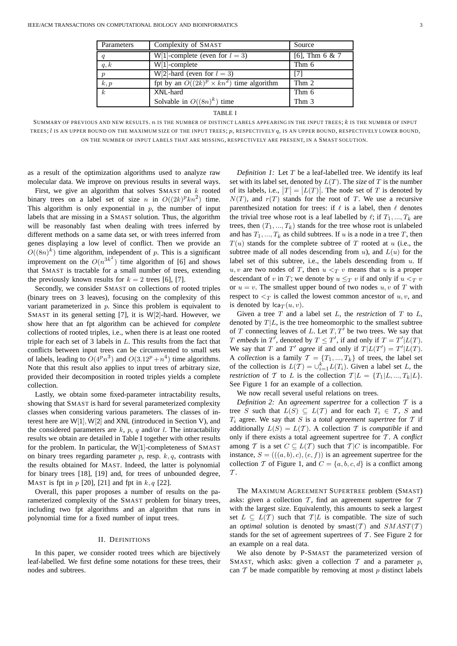| Parameters       | Complexity of SMAST                              | Source           |
|------------------|--------------------------------------------------|------------------|
| $\boldsymbol{q}$ | W[1]-complete (even for $l = 3$ )                | [6], Thm $6 & 7$ |
| q, k             | $W[1]$ -complete                                 | Thm 6            |
| $\boldsymbol{p}$ | W[2]-hard (even for $l = 3$ )                    | [7]              |
| k, p             | fpt by an $O((2k)^p \times kn^2)$ time algorithm | Thm 2            |
| $\boldsymbol{k}$ | XNL-hard                                         | Thm 6            |
|                  | Solvable in $O((8n)^k)$ time                     | Thm 3            |

TABLE I

SUMMARY OF PREVIOUS AND NEW RESULTS. n IS THE NUMBER OF DISTINCT LABELS APPEARING IN THE INPUT TREES; k IS THE NUMBER OF INPUT TREES;  $l$  is an upper bound on the MAXIMUM SIZE OF THE INPUT TREES;  $p$ , RESPECTIVELY  $q$ , is an upper bound, RESPECTIVELY LOWER BOUND, ON THE NUMBER OF INPUT LABELS THAT ARE MISSING, RESPECTIVELY ARE PRESENT, IN A SMAST SOLUTION.

as a result of the optimization algorithms used to analyze raw molecular data. We improve on previous results in several ways.

First, we give an algorithm that solves SMAST on  $k$  rooted binary trees on a label set of size n in  $O((2k)^p k n^2)$  time. This algorithm is only exponential in  $p$ , the number of input labels that are missing in a SMAST solution. Thus, the algorithm will be reasonably fast when dealing with trees inferred by different methods on a same data set, or with trees inferred from genes displaying a low level of conflict. Then we provide an  $O((8n)^k)$  time algorithm, independent of p. This is a significant improvement on the  $O(n^{3k^2})$  time algorithm of [6] and shows that SMAST is tractable for a small number of trees, extending the previously known results for  $k = 2$  trees [6], [7].

Secondly, we consider SMAST on collections of rooted triples (binary trees on 3 leaves), focusing on the complexity of this variant parameterized in  $p$ . Since this problem is equivalent to SMAST in its general setting [7], it is W[2]-hard. However, we show here that an fpt algorithm can be achieved for *complete* collections of rooted triples, i.e., when there is at least one rooted triple for each set of 3 labels in L. This results from the fact that conflicts between input trees can be circumvented to small sets of labels, leading to  $O(4^p n^3)$  and  $O(3.12^p + n^4)$  time algorithms. Note that this result also applies to input trees of arbitrary size, provided their decomposition in rooted triples yields a complete collection.

Lastly, we obtain some fixed-parameter intractability results, showing that SMAST is hard for several parameterized complexity classes when considering various parameters. The classes of interest here are W[1], W[2] and XNL (introduced in Section V), and the considered parameters are  $k$ ,  $p$ ,  $q$  and/or  $l$ . The intractability results we obtain are detailed in Table I together with other results for the problem. In particular, the W[1]-completeness of SMAST on binary trees regarding parameter  $p$ , resp.  $k, q$ , contrasts with the results obtained for MAST. Indeed, the latter is polynomial for binary trees [18], [19] and, for trees of unbounded degree, MAST is fpt in  $p$  [20], [21] and fpt in  $k, q$  [22].

Overall, this paper proposes a number of results on the parameterized complexity of the SMAST problem for binary trees, including two fpt algorithms and an algorithm that runs in polynomial time for a fixed number of input trees.

#### II. DEFINITIONS

In this paper, we consider rooted trees which are bijectively leaf-labelled. We first define some notations for these trees, their nodes and subtrees.

*Definition 1:* Let T be a leaf-labelled tree. We identify its leaf set with its label set, denoted by L(T). The *size* of T is the number of its labels, i.e.,  $|T| = |L(T)|$ . The node set of T is denoted by  $N(T)$ , and  $r(T)$  stands for the root of T. We use a recursive parenthesized notation for trees: if  $\ell$  is a label, then  $\ell$  denotes the trivial tree whose root is a leaf labelled by  $\ell$ ; if  $T_1, ..., T_k$  are trees, then  $(T_1, ..., T_k)$  stands for the tree whose root is unlabeled and has  $T_1, ..., T_k$  as child subtrees. If u is a node in a tree T, then  $T(u)$  stands for the complete subtree of T rooted at u (i.e., the subtree made of all nodes descending from  $u$ ), and  $L(u)$  for the label set of this subtree, i.e., the labels descending from  $u$ . If  $u, v$  are two nodes of T, then  $u <_T v$  means that u is a proper descendant of v in T; we denote by  $u \leq_T v$  if and only if  $u <_T v$ or  $u = v$ . The smallest upper bound of two nodes  $u, v$  of T with respect to  $\langle \tau \rangle$  is called the lowest common ancestor of u, v, and is denoted by  $lca_T(u, v)$ .

Given a tree  $T$  and a label set  $L$ , the *restriction* of  $T$  to  $L$ , denoted by  $T|L$ , is the tree homeomorphic to the smallest subtree of T connecting leaves of L. Let  $T, T'$  be two trees. We say that T embeds in T', denoted by  $T \leq T'$ , if and only if  $T = T'|L(T)$ . We say that T and T' agree if and only if  $T|L(T') = T'|L(T)$ . A *collection* is a family  $\mathcal{T} = \{T_1, ..., T_k\}$  of trees, the label set of the collection is  $L(\mathcal{T}) = \bigcup_{i=1}^{k} L(T_i)$ . Given a label set L, the *restriction* of T to L is the collection  $T|L = \{T_1|L, ..., T_k|L\}$ . See Figure 1 for an example of a collection.

We now recall several useful relations on trees.

*Definition 2:* An *agreement supertree* for a collection T is a tree S such that  $L(S) \subseteq L(\mathcal{T})$  and for each  $T_i \in \mathcal{T}$ , S and  $T_i$  agree. We say that S is a *total agreement supertree* for T if additionally  $L(S) = L(\mathcal{T})$ . A collection T is *compatible* if and only if there exists a total agreement supertree for T . A *conflict* among T is a set  $C \subseteq L(\mathcal{T})$  such that  $\mathcal{T}|C$  is incompatible. For instance,  $S = (((a, b), c), (e, f))$  is an agreement supertree for the collection T of Figure 1, and  $C = \{a, b, c, d\}$  is a conflict among  $\mathcal T$ .

The MAXIMUM AGREEMENT SUPERTREE problem (SMAST) asks: given a collection  $T$ , find an agreement supertree for  $T$ with the largest size. Equivalently, this amounts to seek a largest set  $L \subseteq L(\mathcal{T})$  such that  $\mathcal{T}|L$  is compatible. The size of such an *optimal* solution is denoted by smast $(T)$  and  $SMAXT(T)$ stands for the set of agreement supertrees of  $\mathcal T$ . See Figure 2 for an example on a real data.

We also denote by P-SMAST the parameterized version of SMAST, which asks: given a collection  $T$  and a parameter  $p$ , can  $T$  be made compatible by removing at most  $p$  distinct labels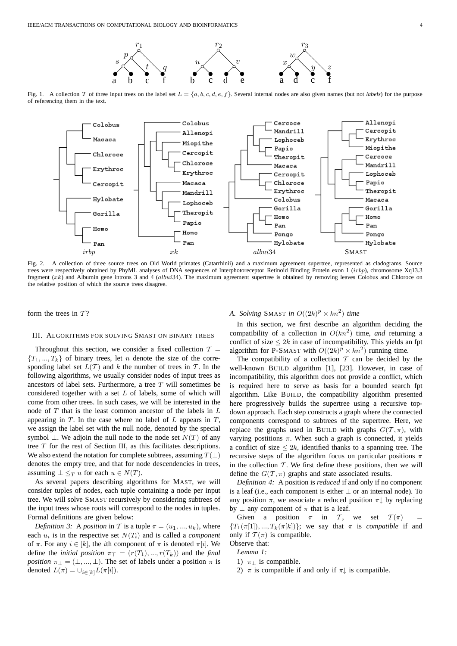

Fig. 1. A collection T of three input trees on the label set  $L = \{a, b, c, d, e, f\}$ . Several internal nodes are also given names (but not *labels*) for the purpose of referencing them in the text.



Fig. 2. A collection of three source trees on Old World primates (Catarrhinii) and a maximum agreement supertree, represented as cladograms. Source trees were respectively obtained by PhyML analyses of DNA sequences of Interphotoreceptor Retinoid Binding Protein exon 1 (irbp), chromosome Xq13.3 fragment (xk) and Albumin gene introns 3 and 4 (albui34). The maximum agreement supertree is obtained by removing leaves Colobus and Chloroce on the relative position of which the source trees disagree.

form the trees in  $T$ ?

#### III. ALGORITHMS FOR SOLVING SMAST ON BINARY TREES

Throughout this section, we consider a fixed collection  $\mathcal{T} =$  ${T_1, ..., T_k}$  of binary trees, let *n* denote the size of the corresponding label set  $L(T)$  and k the number of trees in T. In the following algorithms, we usually consider nodes of input trees as ancestors of label sets. Furthermore, a tree T will sometimes be considered together with a set L of labels, some of which will come from other trees. In such cases, we will be interested in the node of T that is the least common ancestor of the labels in L appearing in  $T$ . In the case where no label of  $L$  appears in  $T$ , we assign the label set with the null node, denoted by the special symbol  $\bot$ . We adjoin the null node to the node set  $N(T)$  of any tree T for the rest of Section III, as this facilitates descriptions. We also extend the notation for complete subtrees, assuming  $T(\perp)$ denotes the empty tree, and that for node descendencies in trees, assuming  $\perp \leq_T u$  for each  $u \in N(T)$ .

As several papers describing algorithms for MAST, we will consider tuples of nodes, each tuple containing a node per input tree. We will solve SMAST recursively by considering subtrees of the input trees whose roots will correspond to the nodes in tuples. Formal definitions are given below:

*Definition 3:* A *position* in T is a tuple  $\pi = (u_1, ..., u_k)$ , where each  $u_i$  is in the respective set  $N(T_i)$  and is called a *component* of  $\pi$ . For any  $i \in [k]$ , the *i*th component of  $\pi$  is denoted  $\pi[i]$ . We define the *initial position*  $\pi$ <sub>T</sub> = ( $r(T_1), ..., r(T_k)$ ) and the *final position*  $\pi_{\perp} = (\perp, ..., \perp)$ . The set of labels under a position  $\pi$  is denoted  $L(\pi) = \cup_{i \in [k]} L(\pi[i]).$ 

# *A. Solving SMAST in*  $O((2k)^p \times kn^2)$  *time*

In this section, we first describe an algorithm deciding the compatibility of a collection in  $O(kn^2)$  time, *and* returning a conflict of size  $\leq 2k$  in case of incompatibility. This yields an fpt algorithm for P-SMAST with  $O((2k)^p \times kn^2)$  running time.

The compatibility of a collection  $T$  can be decided by the well-known BUILD algorithm [1], [23]. However, in case of incompatibility, this algorithm does not provide a conflict, which is required here to serve as basis for a bounded search fpt algorithm. Like BUILD, the compatibility algorithm presented here progressively builds the supertree using a recursive topdown approach. Each step constructs a graph where the connected components correspond to subtrees of the supertree. Here, we replace the graphs used in BUILD with graphs  $G(T, \pi)$ , with varying postitions  $\pi$ . When such a graph is connected, it yields a conflict of size  $\leq 2k$ , identified thanks to a spanning tree. The recursive steps of the algorithm focus on particular positions  $\pi$ in the collection  $T$ . We first define these positions, then we will define the  $G(\mathcal{T}, \pi)$  graphs and state associated results.

*Definition 4:* A position is *reduced* if and only if no component is a leaf (i.e., each component is either  $\perp$  or an internal node). To any position  $\pi$ , we associate a reduced position  $\pi$  by replacing by  $\perp$  any component of  $\pi$  that is a leaf.

Given a position  $\pi$  in T, we set  $T(\pi)$  =  ${T_1(\pi[1]),...,T_k(\pi[k])}$ ; we say that  $\pi$  is *compatible* if and only if  $\mathcal{T}(\pi)$  is compatible.

Observe that:

*Lemma 1:*

1)  $\pi_1$  is compatible.

2)  $\pi$  is compatible if and only if  $\pi$  is compatible.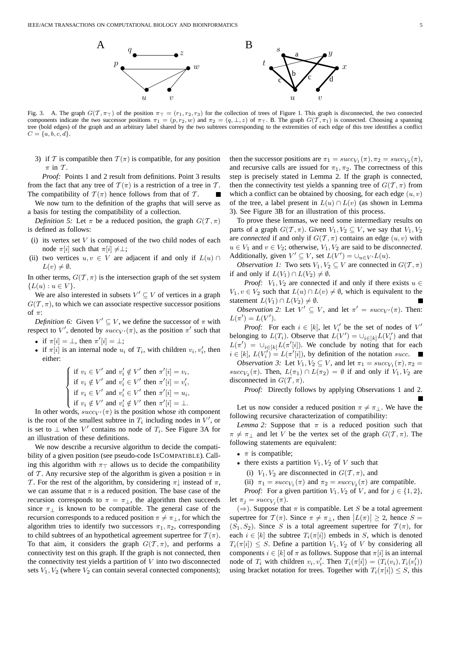

Fig. 3. A. The graph  $G(\mathcal{T}, \pi_T)$  of the position  $\pi_T = (r_1, r_2, r_3)$  for the collection of trees of Figure 1. This graph is disconnected, the two connected components indicate the two successor positions  $\pi_1 = (p, r_2, w)$  and  $\pi_2 = (q, \perp, z)$  of  $\pi_{\perp}$ . B. The graph  $G(\mathcal{T}, \pi_1)$  is connected. Choosing a spanning tree (bold edges) of the graph and an arbitrary label shared by the two subtrees corresponding to the extremities of each edge of this tree identifies a conflict  $C = \{a, b, c, d\}.$ 

3) if T is compatible then  $T(\pi)$  is compatible, for any position  $\pi$  in  $\mathcal{T}$ .

*Proof:* Points 1 and 2 result from definitions. Point 3 results from the fact that any tree of  $\mathcal{T}(\pi)$  is a restriction of a tree in T. The compatibility of  $\mathcal{T}(\pi)$  hence follows from that of  $\mathcal{T}$ .

We now turn to the definition of the graphs that will serve as a basis for testing the compatibility of a collection.

*Definition 5:* Let  $\pi$  be a reduced position, the graph  $G(\mathcal{T}, \pi)$ is defined as follows:

- (i) its vertex set  $V$  is composed of the two child nodes of each node  $\pi[i]$  such that  $\pi[i] \neq \perp$ ;
- (ii) two vertices  $u, v \in V$  are adjacent if and only if  $L(u) \cap$  $L(v) \neq \emptyset$ .

In other terms,  $G(\mathcal{T}, \pi)$  is the intersection graph of the set system  ${L(u) : u \in V}.$ 

We are also interested in subsets  $V' \subseteq V$  of vertices in a graph  $G(\mathcal{T}, \pi)$ , to which we can associate respective successor positions of  $\pi$ :

*Definition 6:* Given  $V' \subseteq V$ , we define the successor of  $\pi$  with respect to V', denoted by  $succ_{V'}(\pi)$ , as the position  $\pi'$  such that

- if  $\pi[i] = \perp$ , then  $\pi'[i] = \perp$ ;
- if  $\pi[i]$  is an internal node  $u_i$  of  $T_i$ , with children  $v_i, v'_i$ , then either:

$$
\begin{cases} \text{if } v_i \in V' \text{ and } v'_i \notin V' \text{ then } \pi'[i] = v_i, \\ \text{if } v_i \notin V' \text{ and } v'_i \in V' \text{ then } \pi'[i] = v'_i, \\ \text{if } v_i \in V' \text{ and } v'_i \in V' \text{ then } \pi'[i] = u_i, \\ \text{if } v_i \notin V' \text{ and } v'_i \notin V' \text{ then } \pi'[i] = \bot. \end{cases}
$$

In other words,  $succ_V(\pi)$  is the position whose *i*th component is the root of the smallest subtree in  $T_i$  including nodes in  $V'$ , or is set to  $\perp$  when  $V'$  contains no node of  $T_i$ . See Figure 3A for an illustration of these definitions.

We now describe a recursive algorithm to decide the compatibility of a given position (see pseudo-code ISCOMPATIBLE). Calling this algorithm with  $\pi$ ⊤ allows us to decide the compatibility of T. Any recursive step of the algorithm is given a position  $\pi$  in T. For the rest of the algorithm, by considering  $\pi$  instead of  $\pi$ , we can assume that  $\pi$  is a reduced position. The base case of the recursion corresponds to  $\pi = \pi_{\perp}$ , the algorithm then succeeds since  $\pi_+$  is known to be compatible. The general case of the recursion corresponds to a reduced position  $\pi \neq \pi$ , for which the algorithm tries to identify two successors  $\pi_1, \pi_2$ , corresponding to child subtrees of an hypothetical agreement supertree for  $T(\pi)$ . To that aim, it considers the graph  $G(\mathcal{T}, \pi)$ , and performs a connectivity test on this graph. If the graph is not connected, then the connectivity test yields a partition of  $V$  into two disconnected sets  $V_1$ ,  $V_2$  (where  $V_2$  can contain several connected components);

then the successor positions are  $\pi_1 = succ_{V_1}(\pi), \pi_2 = succ_{V_2}(\pi)$ , and recursive calls are issued for  $\pi_1, \pi_2$ . The correctness of this step is precisely stated in Lemma 2. If the graph is connected, then the connectivity test yields a spanning tree of  $G(\mathcal{T}, \pi)$  from which a conflict can be obtained by choosing, for each edge  $(u, v)$ of the tree, a label present in  $L(u) \cap L(v)$  (as shown in Lemma 3). See Figure 3B for an illustration of this process.

To prove these lemmas, we need some intermediary results on parts of a graph  $G(\mathcal{T}, \pi)$ . Given  $V_1, V_2 \subseteq V$ , we say that  $V_1, V_2$ are *connected* if and only if  $G(T, \pi)$  contains an edge  $(u, v)$  with  $u \in V_1$  and  $v \in V_2$ ; otherwise,  $V_1, V_2$  are said to be *disconnected*. Additionally, given  $V' \subseteq V$ , set  $L(V') = \bigcup_{u \in V'} L(u)$ .

*Observation 1:* Two sets  $V_1, V_2 \subseteq V$  are connected in  $G(\mathcal{T}, \pi)$ if and only if  $L(V_1) \cap L(V_2) \neq \emptyset$ .

*Proof:*  $V_1, V_2$  are connected if and only if there exists  $u \in$  $V_1, v \in V_2$  such that  $L(u) \cap L(v) \neq \emptyset$ , which is equivalent to the statement  $L(V_1) \cap L(V_2) \neq \emptyset$ .

*Observation 2:* Let  $V' \subseteq V$ , and let  $\pi' = succ_{V'}(\pi)$ . Then:  $L(\pi') = L(V')$ .

*Proof:* For each  $i \in [k]$ , let  $V'_i$  be the set of nodes of  $V'$ belonging to  $L(T_i)$ . Observe that  $L(V') = \bigcup_{i \in [k]} L(V'_i)$  and that  $L(\pi') = \bigcup_{i \in [k]} L(\pi'[i])$ . We conclude by noting that for each  $i \in [k]$ ,  $L(V_i') = L(\pi'[i])$ , by definition of the notation succ. *Observation 3:* Let  $V_1, V_2 \subseteq V$ , and let  $\pi_1 = succ_{V_1}(\pi), \pi_2 =$ succ<sub>V<sub>2</sub></sub>( $\pi$ ). Then,  $L(\pi_1) \cap L(\pi_2) = \emptyset$  if and only if  $V_1, V_2$  are disconnected in  $G(\mathcal{T}, \pi)$ .

*Proof:* Directly follows by applying Observations 1 and 2.

Let us now consider a reduced position  $\pi \neq \pi$ . We have the following recursive characterization of compatibility:

*Lemma 2:* Suppose that  $\pi$  is a reduced position such that  $\pi \neq \pi_1$  and let V be the vertex set of the graph  $G(\mathcal{T}, \pi)$ . The following statements are equivalent:

- $\pi$  is compatible;
- there exists a partition  $V_1, V_2$  of V such that
	- (i)  $V_1, V_2$  are disconnected in  $G(\mathcal{T}, \pi)$ , and
	- (ii)  $\pi_1 = succ_{V_1}(\pi)$  and  $\pi_2 = succ_{V_2}(\pi)$  are compatible.

*Proof:* For a given partition  $V_1$ ,  $V_2$  of V, and for  $j \in \{1, 2\}$ , let  $\pi_j = succ_{V_j}(\pi)$ .

 $(\Rightarrow)$ . Suppose that  $\pi$  is compatible. Let S be a total agreement supertree for  $\mathcal{T}(\pi)$ . Since  $\pi \neq \pi_{\perp}$ , then  $|L(\pi)| \geq 2$ , hence  $S =$  $(S_1, S_2)$ . Since S is a total agreement supertree for  $\mathcal{T}(\pi)$ , for each  $i \in [k]$  the subtree  $T_i(\pi[i])$  embeds in S, which is denoted  $T_i(\pi[i]) \leq S$ . Define a partition  $V_1, V_2$  of V by considering all components  $i \in [k]$  of  $\pi$  as follows. Suppose that  $\pi[i]$  is an internal node of  $T_i$  with children  $v_i, v'_i$ . Then  $T_i(\pi[i]) = (T_i(v_i), T_i(v'_i))$ using bracket notation for trees. Together with  $T_i(\pi[i]) \leq S$ , this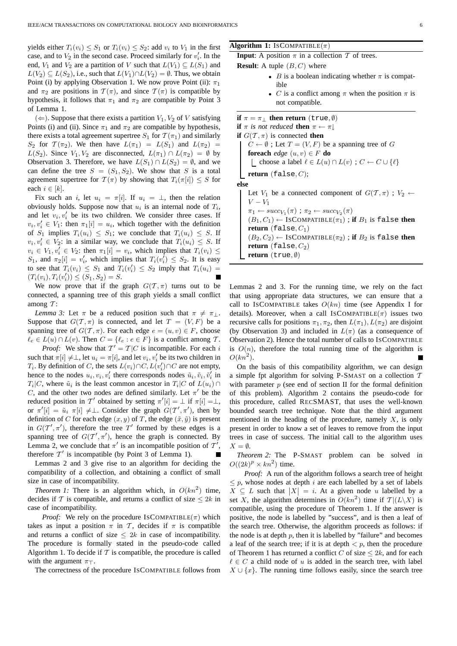yields either  $T_i(v_i) \leq S_1$  or  $T_i(v_i) \leq S_2$ : add  $v_i$  to  $V_1$  in the first case, and to  $V_2$  in the second case. Proceed similarly for  $v'_i$ . In the end,  $V_1$  and  $V_2$  are a partition of V such that  $L(V_1) \subseteq L(S_1)$  and  $L(V_2) \subseteq L(S_2)$ , i.e., such that  $L(V_1) \cap L(V_2) = \emptyset$ . Thus, we obtain Point (i) by applying Observation 1. We now prove Point (ii):  $\pi_1$ and  $\pi_2$  are positions in  $\mathcal{T}(\pi)$ , and since  $\mathcal{T}(\pi)$  is compatible by hypothesis, it follows that  $\pi_1$  and  $\pi_2$  are compatible by Point 3 of Lemma 1.

 $(\Leftarrow)$ . Suppose that there exists a partition  $V_1$ ,  $V_2$  of V satisfying Points (i) and (ii). Since  $\pi_1$  and  $\pi_2$  are compatible by hypothesis, there exists a total agreement supertree  $S_1$  for  $\mathcal{T}(\pi_1)$  and similarly S<sub>2</sub> for  $\mathcal{T}(\pi_2)$ . We then have  $L(\pi_1) = L(S_1)$  and  $L(\pi_2) =$  $L(S_2)$ . Since  $V_1, V_2$  are disconnected,  $L(\pi_1) \cap L(\pi_2) = \emptyset$  by Observation 3. Therefore, we have  $L(S_1) \cap L(S_2) = \emptyset$ , and we can define the tree  $S = (S_1, S_2)$ . We show that S is a total agreement supertree for  $\mathcal{T}(\pi)$  by showing that  $T_i(\pi[i]) \leq S$  for each  $i \in [k]$ .

Fix such an i, let  $u_i = \pi[i]$ . If  $u_i = \perp$ , then the relation obviously holds. Suppose now that  $u_i$  is an internal node of  $T_i$ , and let  $v_i, v'_i$  be its two children. We consider three cases. If  $v_i, v'_i \in V_1$ : then  $\pi_1[i] = u_i$ , which together with the definition of  $S_1$  implies  $T_i(u_i) \leq S_1$ ; we conclude that  $T_i(u_i) \leq S$ . If  $v_i, v'_i \in V_2$ : in a similar way, we conclude that  $T_i(u_i) \leq S$ . If  $v_i \in V_1, v'_i \in V_2$ : then  $\pi_1[i] = v_i$ , which implies that  $T_i(v_i) \leq$ S<sub>1</sub>, and  $\pi_2[i] = v'_i$ , which implies that  $T_i(v'_i) \leq S_2$ . It is easy to see that  $T_i(v_i) \leq S_1$  and  $T_i(v_i') \leq S_2$  imply that  $T_i(u_i) =$  $(T_i(v_i), T_i(v'_i)) \le (S_1, S_2) = S.$ 

We now prove that if the graph  $G(T, \pi)$  turns out to be connected, a spanning tree of this graph yields a small conflict among  $T$ :

*Lemma 3:* Let  $\pi$  be a reduced position such that  $\pi \neq \pi_{\perp}$ . Suppose that  $G(T, \pi)$  is connected, and let  $T = (V, F)$  be a spanning tree of  $G(\mathcal{T}, \pi)$ . For each edge  $e = (u, v) \in F$ , choose  $\ell_e \in L(u) \cap L(v)$ . Then  $C = {\ell_e : e \in F}$  is a conflict among T. *Proof:* We show that  $T' = T|C$  is incompatible. For each i such that  $\pi[i] \neq \perp$ , let  $u_i = \pi[i]$ , and let  $v_i, v'_i$  be its two children in  $T_i$ . By definition of C, the sets  $L(v_i) \cap C$ ,  $L(v'_i) \cap C$  are not empty, hence to the nodes  $u_i, v_i, v'_i$  there corresponds nodes  $\tilde{u}_i, \tilde{v}_i, \tilde{v}'_i$  in  $T_i|C$ , where  $\tilde{u}_i$  is the least common ancestor in  $T_i|C$  of  $L(u_i) \cap$ C, and the other two nodes are defined similarly. Let  $\pi'$  be the reduced position in T' obtained by setting  $\pi'[i] = \bot$  if  $\pi[i] = \bot$ , or  $\pi'[i] = \tilde{u}_i \pi[i] \neq \perp$ . Consider the graph  $G(T', \pi')$ , then by definition of C for each edge  $(x, y)$  of T, the edge  $(\tilde{x}, \tilde{y})$  is present in  $G(T', \pi')$ , therefore the tree T' formed by these edges is a spanning tree of  $G(T', \pi')$ , hence the graph is connected. By Lemma 2, we conclude that  $\pi'$  is an incompatible position of  $\mathcal{T}'$ , therefore  $T'$  is incompatible (by Point 3 of Lemma 1).

Lemmas 2 and 3 give rise to an algorithm for deciding the compatibility of a collection, and obtaining a conflict of small size in case of incompatibility.

*Theorem 1:* There is an algorithm which, in  $O(kn^2)$  time, decides if T is compatible, and returns a conflict of size  $\leq 2k$  in case of incompatibility.

*Proof:* We rely on the procedure ISCOMPATIBLE( $\pi$ ) which takes as input a position  $\pi$  in T, decides if  $\pi$  is compatible and returns a conflict of size  $\leq 2k$  in case of incompatibility. The procedure is formally stated in the pseudo-code called Algorithm 1. To decide if  $T$  is compatible, the procedure is called with the argument  $\pi$ ⊤.

The correctness of the procedure ISCOMPATIBLE follows from

#### **Algorithm 1:** ISCOMPATIBLE $(\pi)$

**Input**: A position  $\pi$  in a collection  $\mathcal T$  of trees.

**Result:** A tuple  $(B, C)$  where

- B is a boolean indicating whether  $\pi$  is compatible
- C is a conflict among  $\pi$  when the position  $\pi$  is not compatible.

**if**  $\pi = \pi_1$  **then return** (true,  $\emptyset$ ) **if**  $\pi$  *is not reduced* **then**  $\pi \leftarrow \pi$ **if**  $G(T, \pi)$  is connected **then**  $C \leftarrow \emptyset$ ; Let  $T = (V, F)$  be a spanning tree of G **foreach** *edge*  $(u, v) \in F$  **do** L choose a label  $\ell \in L(u) \cap L(v)$ ;  $C \leftarrow C \cup \{\ell\}$ **return** (false, C); **else** Let  $V_1$  be a connected component of  $G(\mathcal{T}, \pi)$ ;  $V_2 \leftarrow$  $V - V_1$  $\pi_1 \leftarrow succ_{V_1}(\pi)$ ;  $\pi_2 \leftarrow succ_{V_2}(\pi)$  $(B_1, C_1) \leftarrow$  ISCOMPATIBLE $(\pi_1)$ ; if  $B_1$  is false then **return** (false,  $C_1$ )  $(B_2, C_2) \leftarrow \text{ISCOMPATHLE}(\pi_2)$ ; **if**  $B_2$  is false **then return**  $(false, C_2)$ **return** (true, ∅)

Lemmas 2 and 3. For the running time, we rely on the fact that using appropriate data structures, we can ensure that a call to IsCOMPATIBLE takes  $O(kn)$  time (see Appendix I for details). Moreover, when a call ISCOMPATIBLE $(\pi)$  issues two recursive calls for positions  $\pi_1, \pi_2$ , then  $L(\pi_1), L(\pi_2)$  are disjoint (by Observation 3) and included in  $L(\pi)$  (as a consequence of Observation 2). Hence the total number of calls to ISCOMPATIBLE is  $O(n)$ , therefore the total running time of the algorithm is  $O(kn^2)$ .

On the basis of this compatibility algorithm, we can design a simple fpt algorithm for solving P-SMAST on a collection  $T$ with parameter  $p$  (see end of section II for the formal definition of this problem). Algorithm 2 contains the pseudo-code for this procedure, called RECSMAST, that uses the well-known bounded search tree technique. Note that the third argument mentioned in the heading of the procedure, namely  $X$ , is only present in order to know a set of leaves to remove from the input trees in case of success. The initial call to the algorithm uses  $X = \emptyset$ .

*Theorem 2:* The P-SMAST problem can be solved in  $O((2k)^p \times kn^2)$  time.

*Proof:* A run of the algorithm follows a search tree of height  $\leq p$ , whose nodes at depth *i* are each labelled by a set of labels  $X \subseteq L$  such that  $|X| = i$ . At a given node u labelled by a set X, the algorithm determines in  $O(kn^2)$  time if  $T | (L \backslash X)$  is compatible, using the procedure of Theorem 1. If the answer is positive, the node is labelled by "success", and is then a leaf of the search tree. Otherwise, the algorithm proceeds as follows: if the node is at depth  $p$ , then it is labelled by "failure" and becomes a leaf of the search tree; if it is at depth  $\lt p$ , then the procedure of Theorem 1 has returned a conflict C of size  $\leq 2k$ , and for each  $\ell \in C$  a child node of u is added in the search tree, with label  $X \cup \{x\}$ . The running time follows easily, since the search tree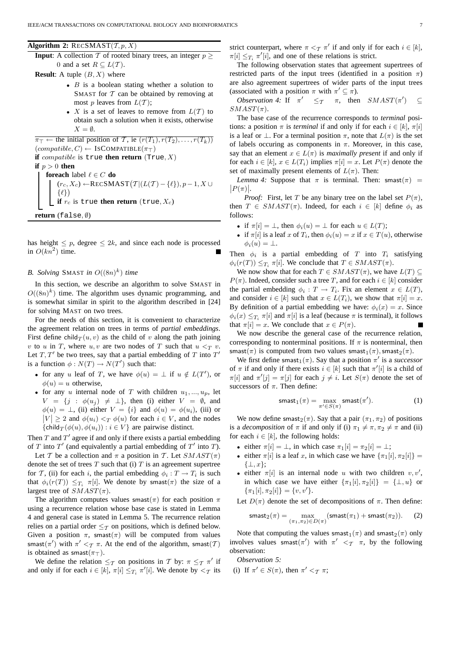**Algorithm 2:**  $RECSMAST(\mathcal{T}, p, X)$ 

**Input**: A collection  $\mathcal T$  of rooted binary trees, an integer  $p >$ 0 and a set  $R \subseteq L(\mathcal{T})$ .

**Result:** A tuple  $(B, X)$  where

- $B$  is a boolean stating whether a solution to SMAST for  $T$  can be obtained by removing at most p leaves from  $L(\mathcal{T})$ ;
- X is a set of leaves to remove from  $L(T)$  to obtain such a solution when it exists, otherwise  $X = \emptyset$ .

 $\overline{\pi_{\top}} \leftarrow$  the initial position of T, ie  $(r(T_1), r(T_2), \ldots, r(T_k))$  $(compatible, C) \leftarrow \text{ISCOMPATHLE}(\pi_T)$ **if** compatible is true **then return** (True,  $X$ ) **if**  $p > 0$  **then foreach** label  $\ell \in C$  **do**  $(r_c, X_c)$  ←RECSMAST $(T | (L(T) - \{\ell\}), p - 1, X \cup$  $\{\ell\}\right)$ **if**  $r_c$  is true **then return** (true,  $X_c$ ) **return** (false, ∅)

has height  $\leq p$ , degree  $\leq 2k$ , and since each node is processed in  $O(kn^2)$  time.

# *B. Solving SMAST in*  $O((8n)^k)$  *time*

In this section, we describe an algorithm to solve SMAST in  $O((8n)^k)$  time. The algorithm uses dynamic programming, and is somewhat similar in spirit to the algorithm described in [24] for solving MAST on two trees.

For the needs of this section, it is convenient to characterize the agreement relation on trees in terms of *partial embeddings*. First define child  $T(u, v)$  as the child of v along the path joining v to u in T, where u, v are two nodes of T such that  $u <_{T} v$ . Let  $T, T'$  be two trees, say that a partial embedding of T into  $T'$ is a function  $\phi: N(T) \to N(T')$  such that:

- for any u leaf of T, we have  $\phi(u) = \bot$  if  $u \notin L(T')$ , or  $\phi(u) = u$  otherwise.
- for any u internal node of T with children  $u_1, ..., u_p$ , let  $V = \{j : \phi(u_j) \neq \perp\}$ , then (i) either  $V = \emptyset$ , and  $\phi(u) = \bot$ , (ii) either  $V = \{i\}$  and  $\phi(u) = \phi(u_i)$ , (iii) or  $|V| \ge 2$  and  $\phi(u_i) < T \phi(u)$  for each  $i \in V$ , and the nodes {child $_T(\phi(u), \phi(u_i)) : i \in V$ } are pairwise distinct.

Then  $T$  and  $T'$  agree if and only if there exists a partial embedding of T into  $T'$  (and equivalently a partial embedding of  $T'$  into T).

Let T be a collection and  $\pi$  a position in T. Let  $SMAST(\pi)$ denote the set of trees  $T$  such that (i)  $T$  is an agreement supertree for T, (ii) for each i, the partial embedding  $\phi_i : T \to T_i$  is such that  $\phi_i(r(T)) \leq T_i \pi[i]$ . We denote by smast $(\pi)$  the size of a largest tree of  $SMAST(\pi)$ .

The algorithm computes values smast( $\pi$ ) for each position  $\pi$ using a recurrence relation whose base case is stated in Lemma 4 and general case is stated in Lemma 5. The recurrence relation relies on a partial order  $\leq_\tau$  on positions, which is defined below. Given a position  $\pi$ , smast( $\pi$ ) will be computed from values smast $(\pi')$  with  $\pi' <_{\mathcal{T}} \pi$ . At the end of the algorithm, smast $(\mathcal{T})$ is obtained as smast( $\pi$ ⊤).

We define the relation  $\leq_T$  on positions in T by:  $\pi \leq_T \pi'$  if and only if for each  $i \in [k]$ ,  $\pi[i] \leq T_i \pi'[i]$ . We denote by  $\lt_T$  its strict counterpart, where  $\pi <_{\mathcal{T}} \pi'$  if and only if for each  $i \in [k]$ ,  $\pi[i] \leq T_i \pi'[i]$ , and one of these relations is strict.

The following observation states that agreement supertrees of restricted parts of the input trees (identified in a position  $\pi$ ) are also agreement supertrees of wider parts of the input trees (associated with a position  $\pi$  with  $\pi' \subseteq \pi$ ).

*Observation 4:* If  $\pi' \leq_T \pi$ , then  $SMAST(\pi')$  $\subset$  $SMAST(\pi).$ 

The base case of the recurrence corresponds to *terminal* positions: a position  $\pi$  is *terminal* if and only if for each  $i \in [k]$ ,  $\pi[i]$ is a leaf or  $\perp$ . For a terminal position  $\pi$ , note that  $L(\pi)$  is the set of labels occuring as components in  $\pi$ . Moreover, in this case, say that an element  $x \in L(\pi)$  is *maximally present* if and only if for each  $i \in [k]$ ,  $x \in L(T_i)$  implies  $\pi[i] = x$ . Let  $P(\pi)$  denote the set of maximally present elements of  $L(\pi)$ . Then:

*Lemma 4:* Suppose that  $\pi$  is terminal. Then: smast( $\pi$ ) =  $|P(\pi)|$ .

*Proof:* First, let T be any binary tree on the label set  $P(\pi)$ , then  $T \in \text{SMAST}(\pi)$ . Indeed, for each  $i \in [k]$  define  $\phi_i$  as follows:

- if  $\pi[i] = \bot$ , then  $\phi_i(u) = \bot$  for each  $u \in L(T)$ ;
- if  $\pi[i]$  is a leaf x of  $T_i$ , then  $\phi_i(u) = x$  if  $x \in T(u)$ , otherwise  $\phi_i(u) = \perp$ .

Then  $\phi_i$  is a partial embedding of T into  $T_i$  satisfying  $\phi_i(r(T)) \leq_{T_i} \pi[i]$ . We conclude that  $T \in \mathcal{S}MAXT(\pi)$ .

We now show that for each  $T \in SMAST(\pi)$ , we have  $L(T) \subseteq$  $P(\pi)$ . Indeed, consider such a tree T, and for each  $i \in [k]$  consider the partial embedding  $\phi_i : T \to T_i$ . Fix an element  $x \in L(T)$ , and consider  $i \in [k]$  such that  $x \in L(T_i)$ , we show that  $\pi[i] = x$ . By definition of a partial embedding we have:  $\phi_i(x) = x$ . Since  $\phi_i(x) \leq_{T_i} \pi[i]$  and  $\pi[i]$  is a leaf (because  $\pi$  is terminal), it follows that  $\pi[i] = x$ . We conclude that  $x \in P(\pi)$ .

We now describe the general case of the recurrence relation, corresponding to nonterminal positions. If  $\pi$  is nonterminal, then smast( $\pi$ ) is computed from two values smast<sub>1</sub>( $\pi$ ), smast<sub>2</sub>( $\pi$ ).

We first define smast<sub>1</sub>( $\pi$ ). Say that a position  $\pi'$  is a *successor* of  $\pi$  if and only if there exists  $i \in [k]$  such that  $\pi'[i]$  is a child of  $\pi[i]$  and  $\pi'[j] = \pi[j]$  for each  $j \neq i$ . Let  $S(\pi)$  denote the set of successors of  $\pi$ . Then define:

$$
\textsf{smax}_1(\pi) = \max_{\pi' \in S(\pi)} \textsf{smax}(\pi'). \tag{1}
$$

We now define smast<sub>2</sub>( $\pi$ ). Say that a pair ( $\pi_1, \pi_2$ ) of positions is a *decomposition* of  $\pi$  if and only if (i)  $\pi_1 \neq \pi, \pi_2 \neq \pi$  and (ii) for each  $i \in [k]$ , the following holds:

- either  $\pi[i] = \bot$ , in which case  $\pi_1[i] = \pi_2[i] = \bot$ ;
- either  $\pi[i]$  is a leaf x, in which case we have  $\{\pi_1[i], \pi_2[i]\} =$  $\{\perp, x\};$
- either  $\pi[i]$  is an internal node u with two children  $v, v'$ , in which case we have either  $\{\pi_1[i], \pi_2[i]\} = {\{\perp, u\}}$  or  $\{\pi_1[i], \pi_2[i]\} = \{v, v'\}.$

Let  $D(\pi)$  denote the set of decompositions of  $\pi$ . Then define:

$$
\text{smax}_2(\pi) = \max_{(\pi_1, \pi_2) \in D(\pi)} (\text{smax}_1(\pi_1) + \text{smax}_1(\pi_2)). \tag{2}
$$

Note that computing the values smast<sub>1</sub>( $\pi$ ) and smast<sub>2</sub>( $\pi$ ) only involves values smast( $\pi'$ ) with  $\pi' < \tau \pi$ , by the following observation:

*Observation 5:*

(i) If  $\pi' \in S(\pi)$ , then  $\pi' <_{\mathcal{T}} \pi$ ;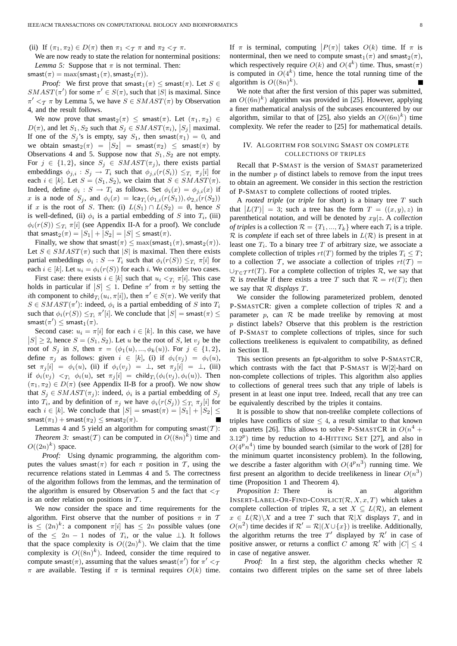(ii) If  $(\pi_1, \pi_2) \in D(\pi)$  then  $\pi_1 < \tau \pi$  and  $\pi_2 < \tau \pi$ .

We are now ready to state the relation for nonterminal positions: *Lemma 5:* Suppose that  $\pi$  is not terminal. Then:

smast $(\pi) = \max(\textsf{smast}_1(\pi), \textsf{smast}_2(\pi)).$ 

*Proof:* We first prove that smast<sub>1</sub>( $\pi$ )  $\leq$  smast( $\pi$ ). Let  $S \in$  $SMAST(\pi')$  for some  $\pi' \in S(\pi)$ , such that |S| is maximal. Since  $\pi' <_{\mathcal{T}} \pi$  by Lemma 5, we have  $S \in \mathcal{S}MAST(\pi)$  by Observation 4, and the result follows.

We now prove that  $smast_2(\pi) \le smast(\pi)$ . Let  $(\pi_1, \pi_2) \in$  $D(\pi)$ , and let  $S_1, S_2$  such that  $S_j \in \text{SMAST}(\pi_i)$ ,  $|S_j|$  maximal. If one of the  $S_j$ 's is empty, say  $S_1$ , then smast $(\pi_1) = 0$ , and we obtain  $smast_2(\pi) = |S_2| = smast(\pi_2) \le smast(\pi)$  by Observations 4 and 5. Suppose now that  $S_1, S_2$  are not empty. For  $j \in \{1, 2\}$ , since  $S_j \in \text{SMAST}(\pi_j)$ , there exists partial embeddings  $\phi_{j,i} : S_j \to T_i$  such that  $\phi_{j,i}(r(S_i)) \leq T_i \pi_j[i]$  for each  $i \in [k]$ . Let  $S = (S_1, S_2)$ , we claim that  $S \in \mathcal{S}MAXT(\pi)$ . Indeed, define  $\phi_i : S \to T_i$  as follows. Set  $\phi_i(x) = \phi_{j,i}(x)$  if x is a node of  $S_j$ , and  $\phi_i(x) = \text{lca}_{T_i}(\phi_{1,i}(r(S_1)), \phi_{2,i}(r(S_2))$ if x is the root of S. Then: (i)  $L(S_1) \cap L(S_2) = \emptyset$ , hence S is well-defined, (ii)  $\phi_i$  is a partial embedding of S into  $T_i$ , (iii)  $\phi_i(r(S)) \leq_{T_i} \pi[i]$  (see Appendix II-A for a proof). We conclude that  $\textsf{smast}_2(\pi) = |S_1| + |S_2| = |S| \leq \textsf{smast}(\pi)$ .

Finally, we show that smast( $\pi$ )  $\leq$  max(smast<sub>1</sub>( $\pi$ ), smast<sub>2</sub>( $\pi$ )). Let  $S \in \text{SMAX}(\pi)$  such that |S| is maximal. Then there exists partial embeddings  $\phi_i : S \to T_i$  such that  $\phi_i(r(S)) \leq T_i \pi[i]$  for each  $i \in [k]$ . Let  $u_i = \phi_i(r(S))$  for each i. We consider two cases.

First case: there exists  $i \in [k]$  such that  $u_i <_{T_i} \pi[i]$ . This case holds in particular if  $|S| \le 1$ . Define  $\pi'$  from  $\pi$  by setting the *i*th component to child  $T_i(u_i, \pi[i])$ , then  $\pi' \in S(\pi)$ . We verify that  $S \in \text{SMAX}(\pi')$ : indeed,  $\phi_i$  is a partial embedding of S into  $T_i$ such that  $\phi_i(r(S)) \leq T_i \pi'[i]$ . We conclude that  $|S| = \textsf{smast}(\pi) \leq$  $\mathsf{smax}(\pi') \le \mathsf{smax}_1(\pi).$ 

Second case:  $u_i = \pi[i]$  for each  $i \in [k]$ . In this case, we have  $|S| \ge 2$ , hence  $S = (S_1, S_2)$ . Let u be the root of S, let  $v_j$  be the root of  $S_j$  in S, then  $\pi = (\phi_1(u), ..., \phi_k(u))$ . For  $j \in \{1, 2\}$ , define  $\pi_j$  as follows: given  $i \in [k]$ , (i) if  $\phi_i(v_j) = \phi_i(u)$ , set  $\pi_j[i] = \phi_i(u)$ , (ii) if  $\phi_i(v_j) = \perp$ , set  $\pi_j[i] = \perp$ , (iii) if  $\phi_i(v_j) <_{T_i} \phi_i(u)$ , set  $\pi_j[i] = \text{child}_{T_i}(\phi_i(v_j), \phi_i(u))$ . Then  $(\pi_1, \pi_2) \in D(\pi)$  (see Appendix II-B for a proof). We now show that  $S_j \in \mathcal{S}MAXT(\pi_j)$ : indeed,  $\phi_i$  is a partial embedding of  $S_j$ into  $T_i$ , and by definition of  $\pi_j$  we have  $\phi_i(r(S_j)) \leq T_i \pi_j[i]$  for each  $i \in [k]$ . We conclude that  $|S| = \textsf{smast}(\pi) = |S_1| + |S_2| \le$ smast $(\pi_1)$  + smast $(\pi_2)$   $\leq$  smast $_2(\pi)$ .

Lemmas 4 and 5 yield an algorithm for computing smast $(T)$ : *Theorem 3:* smast(*T*) can be computed in  $O((8n)^k)$  time and  $O((2n)^k)$  space.

*Proof:* Using dynamic programming, the algorithm computes the values smast( $\pi$ ) for each  $\pi$  position in T, using the recurrence relations stated in Lemmas 4 and 5. The correctness of the algorithm follows from the lemmas, and the termination of the algorithm is ensured by Observation 5 and the fact that  $\langle \tau \rangle$ is an order relation on positions in  $T$ .

We now consider the space and time requirements for the algorithm. First observe that the number of positions  $\pi$  in  $\mathcal T$ is  $\leq (2n)^k$ : a component  $\pi[i]$  has  $\leq 2n$  possible values (one of the  $\leq 2n - 1$  nodes of  $T_i$ , or the value  $\perp$ ). It follows that the space complexity is  $O((2n)^k)$ . We claim that the time complexity is  $O((8n)^k)$ . Indeed, consider the time required to compute smast $(\pi)$ , assuming that the values smast $(\pi')$  for  $\pi' <$ π are available. Testing if  $\pi$  is terminal requires  $O(k)$  time.

If  $\pi$  is terminal, computing  $|P(\pi)|$  takes  $O(k)$  time. If  $\pi$  is nonterminal, then we need to compute smast<sub>1</sub>( $\pi$ ) and smast<sub>2</sub>( $\pi$ ), which respectively require  $O(k)$  and  $O(4^k)$  time. Thus, smast $(\pi)$ is computed in  $O(4^k)$  time, hence the total running time of the algorithm is  $O((8n)^k)$ .

We note that after the first version of this paper was submitted, an  $O((6n)^k)$  algorithm was provided in [25]. However, applying a finer mathematical analysis of the subcases encountered by our algorithm, similar to that of [25], also yields an  $O((6n)^k)$  time complexity. We refer the reader to [25] for mathematical details.

# IV. ALGORITHM FOR SOLVING SMAST ON COMPLETE COLLECTIONS OF TRIPLES

Recall that P-SMAST is the version of SMAST parameterized in the number  $p$  of distinct labels to remove from the input trees to obtain an agreement. We consider in this section the restriction of P-SMAST to complete collections of rooted triples.

A *rooted triple* (or *triple* for short) is a binary tree T such that  $|L(T)| = 3$ ; such a tree has the form  $T = ((x, y), z)$  in parenthetical notation, and will be denoted by xy|z. A *collection of triples* is a collection  $\mathcal{R} = \{T_1, ..., T_k\}$  where each  $T_i$  is a triple.  $\mathcal R$  is *complete* if each set of three labels in  $L(\mathcal R)$  is present in at least one  $T_i$ . To a binary tree T of arbitrary size, we associate a complete collection of triples  $rt(T)$  formed by the triples  $T_i \leq T$ ; to a collection T, we associate a collection of triples  $rt(T) =$  $\cup_{T \in \mathcal{T}} rt(T)$ . For a complete collection of triples R, we say that R is *treelike* if there exists a tree T such that  $\mathcal{R} = rt(T)$ ; then we say that R *displays* T.

We consider the following parameterized problem, denoted P-SMASTCR: given a complete collection of triples  $\mathcal R$  and a parameter  $p$ , can  $R$  be made treelike by removing at most  $p$  distinct labels? Observe that this problem is the restriction of P-SMAST to complete collections of triples, since for such collections treelikeness is equivalent to compatibility, as defined in Section II.

This section presents an fpt-algorithm to solve P-SMASTCR, which contrasts with the fact that P-SMAST is W[2]-hard on non-complete collections of triples. This algorithm also applies to collections of general trees such that any triple of labels is present in at least one input tree. Indeed, recall that any tree can be equivalently described by the triples it contains.

It is possible to show that non-treelike complete collections of triples have conflicts of size  $\leq 4$ , a result similar to that known on quartets [26]. This allows to solve P-SMASTCR in  $O(n^4 +$  $3.12<sup>p</sup>$ ) time by reduction to 4-HITTING SET [27], and also in  $O(4^p n^4)$  time by bounded search (similar to the work of [28] for the minimum quartet inconsistency problem). In the following, we describe a faster algorithm with  $O(4^p n^3)$  running time. We first present an algorithm to decide treelikeness in linear  $O(n^3)$ time (Proposition 1 and Theorem 4).

*Proposition 1:* There is an algorithm INSERT-LABEL-OR-FIND-CONFLICT( $\mathcal{R}, X, x, T$ ) which takes a complete collection of triples  $\mathcal{R}$ , a set  $X \subseteq L(\mathcal{R})$ , an element  $x \in L(\mathcal{R}) \backslash X$  and a tree T such that  $\mathcal{R}|X$  displays T, and in  $O(n^2)$  time decides if  $\mathcal{R}' = \mathcal{R} | (X \cup \{x\})$  is treelike. Additionally, the algorithm returns the tree  $T'$  displayed by  $\mathcal{R}'$  in case of positive answer, or returns a conflict C among  $\mathcal{R}'$  with  $|C| \leq 4$ in case of negative answer.

*Proof:* In a first step, the algorithm checks whether  $\mathcal{R}$ contains two different triples on the same set of three labels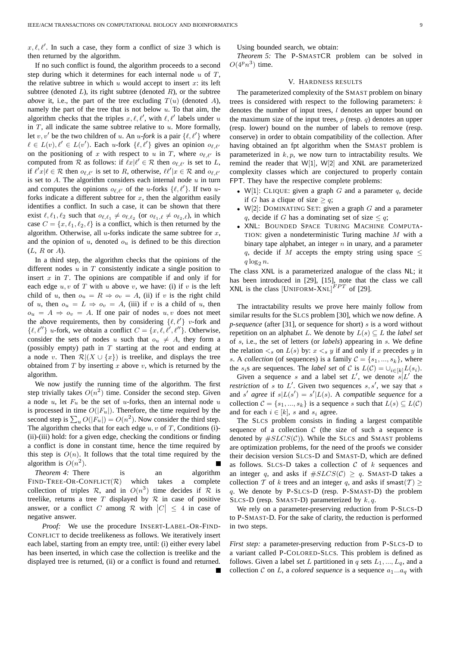$x, \ell, \ell'$ . In such a case, they form a conflict of size 3 which is then returned by the algorithm.

If no such conflict is found, the algorithm proceeds to a second step during which it determines for each internal node  $u$  of  $T$ , the relative subtree in which  $u$  would accept to insert  $x$ : its left subtree (denoted  $L$ ), its right subtree (denoted  $R$ ), or the subtree *above* it, i.e., the part of the tree excluding  $T(u)$  (denoted A), namely the part of the tree that is not below  $u$ . To that aim, the algorithm checks that the triples  $x, \ell, \ell'$ , with  $\ell, \ell'$  labels under u in  $T$ , all indicate the same subtree relative to  $u$ . More formally, let  $v, v'$  be the two children of u. An u-fork is a pair  $\{\ell, \ell'\}$  where  $\ell \in L(v), \ell' \in L(v')$ . Each u-fork  $\{\ell, \ell'\}$  gives an opinion  $o_{\ell, \ell'}$ on the positioning of x with respect to u in T, where  $o_{\ell,\ell'}$  is computed from  $R$  as follows: if  $\ell x | \ell' \in R$  then  $o_{\ell, \ell'}$  is set to L, if  $\ell'x|\ell \in \mathcal{R}$  then  $o_{\ell,\ell'}$  is set to R, otherwise,  $\ell\ell'|x \in \mathcal{R}$  and  $o_{\ell,\ell'}$ is set to  $A$ . The algorithm considers each internal node  $u$  in turn and computes the opinions  $o_{\ell,\ell'}$  of the u-forks  $\{\ell,\ell'\}$ . If two uforks indicate a different subtree for  $x$ , then the algorithm easily identifies a conflict. In such a case, it can be shown that there exist  $\ell, \ell_1, \ell_2$  such that  $o_{\ell, \ell_1} \neq o_{\ell, \ell_2}$  (or  $o_{\ell_1, \ell} \neq o_{\ell_2, \ell}$ ), in which case  $C = \{x, \ell_1, \ell_2, \ell\}$  is a conflict, which is then returned by the algorithm. Otherwise, all  $u$ -forks indicate the same subtree for  $x$ , and the opinion of  $u$ , denoted  $o<sub>u</sub>$  is defined to be this direction  $(L, R \text{ or } A).$ 

In a third step, the algorithm checks that the opinions of the different nodes  $u$  in  $T$  consistently indicate a single position to insert  $x$  in  $T$ . The opinions are compatible if and only if for each edge  $u, v$  of T with u above v, we have: (i) if v is the left child of u, then  $o_u = R \Rightarrow o_v = A$ , (ii) if v is the right child of u, then  $o_u = L \Rightarrow o_v = A$ , (iii) if v is a child of u, then  $o_u = A \Rightarrow o_v = A$ . If one pair of nodes  $u, v$  does not meet the above requirements, then by considering  $\{\ell, \ell'\}$  v-fork and  $\{\ell, \ell''\}$  u-fork, we obtain a conflict  $C = \{x, \ell, \ell', \ell''\}$ . Otherwise, consider the sets of nodes u such that  $o_u \neq A$ , they form a (possibly empty) path in  $T$  starting at the root and ending at a node v. Then  $\mathcal{R} | (X \cup \{x\})$  is treelike, and displays the tree obtained from  $T$  by inserting  $x$  above  $v$ , which is returned by the algorithm.

We now justify the running time of the algorithm. The first step trivially takes  $O(n^2)$  time. Consider the second step. Given a node  $u$ , let  $F_u$  be the set of u-forks, then an internal node  $u$ is processed in time  $O(|F_u|)$ . Therefore, the time required by the second step is  $\sum_{u} O(|F_u|) = O(n^2)$ . Now consider the third step. The algorithm checks that for each edge  $u, v$  of T, Conditions (i)-(ii)-(iii) hold: for a given edge, checking the conditions or finding a conflict is done in constant time, hence the time required by this step is  $O(n)$ . It follows that the total time required by the algorithm is  $O(n^2)$ .

*Theorem 4:* There is an algorithm FIND-TREE-OR-CONFLICT( $\mathcal{R}$ ) which takes a complete collection of triples R, and in  $O(n^3)$  time decides if R is treelike, returns a tree  $T$  displayed by  $R$  in case of positive answer, or a conflict C among  $\mathcal R$  with  $|C| \leq 4$  in case of negative answer.

*Proof:* We use the procedure INSERT-LABEL-OR-FIND-CONFLICT to decide treelikeness as follows. We iteratively insert each label, starting from an empty tree, until: (i) either every label has been inserted, in which case the collection is treelike and the displayed tree is returned, (ii) or a conflict is found and returned. Using bounded search, we obtain:

*Theorem 5:* The P-SMASTCR problem can be solved in  $O(4^p n^3)$  time.

# V. HARDNESS RESULTS

The parameterized complexity of the SMAST problem on binary trees is considered with respect to the following parameters:  $k$ denotes the number of input trees,  $l$  denotes an upper bound on the maximum size of the input trees,  $p$  (resp.  $q$ ) denotes an upper (resp. lower) bound on the number of labels to remove (resp. conserve) in order to obtain compatibility of the collection. After having obtained an fpt algorithm when the SMAST problem is parameterized in  $k, p$ , we now turn to intractability results. We remind the reader that  $W[1]$ ,  $W[2]$  and  $XNL$  are parameterized complexity classes which are conjectured to properly contain FPT. They have the respective complete problems:

- W[1]: CLIQUE: given a graph G and a parameter q, decide if G has a clique of size  $\geq q$ ;
- W[2]: DOMINATING SET: given a graph  $G$  and a parameter q, decide if G has a dominating set of size  $\leq q$ ;
- XNL: BOUNDED SPACE TURING MACHINE COMPUTA-TION: given a nondeterministic Turing machine M with a binary tape alphabet, an integer  $n$  in unary, and a parameter q, decide if M accepts the empty string using space  $\leq$  $q \log_2 n$ .

The class XNL is a parameterized analogue of the class NL; it has been introduced in [29], [15], note that the class we call XNL is the class [UNIFORM-XNL] $^{FPT}$  of [29].

The intractability results we prove here mainly follow from similar results for the SLCS problem [30], which we now define. A *p-sequence* (after [31], or sequence for short) s is a word without repetition on an alphabet L. We denote by  $L(s) \subseteq L$  the *label set* of s, i.e., the set of letters (or *labels*) appearing in s. We define the relation  $\lt_s$  on  $L(s)$  by:  $x \lt_s y$  if and only if x precedes y in s. A *collection* (of sequences) is a family  $C = \{s_1, ..., s_k\}$ , where the  $s_i$ s are sequences. The *label set* of C is  $L(\mathcal{C}) = \bigcup_{i \in [k]} L(s_i)$ .

Given a sequence s and a label set  $L'$ , we denote  $s|L'$  the *restriction* of s to  $L'$ . Given two sequences  $s, s'$ , we say that s and s' agree if  $s|L(s') = s'|L(s)$ . A *compatible sequence* for a collection  $C = \{s_1, ..., s_k\}$  is a sequence s such that  $L(s) \subseteq L(C)$ and for each  $i \in [k]$ , s and  $s_i$  agree.

The SLCS problem consists in finding a largest compatible sequence of a collection  $C$  (the size of such a sequence is denoted by  $\#S LCS(\mathcal{C})$ ). While the SLCS and SMAST problems are optimization problems, for the need of the proofs we consider their decision version SLCS-D and SMAST-D, which are defined as follows. SLCS-D takes a collection  $C$  of  $k$  sequences and an integer q, and asks if  $#SICS(\mathcal{C}) \geq q$ . SMAST-D takes a collection T of k trees and an integer q, and asks if smast(T)  $\geq$ q. We denote by P-SLCS-D (resp. P-SMAST-D) the problem SLCS-D (resp. SMAST-D) parameterized by  $k, q$ .

We rely on a parameter-preserving reduction from P-SLCS-D to P-SMAST-D. For the sake of clarity, the reduction is performed in two steps.

*First step:* a parameter-preserving reduction from P-SLCS-D to a variant called P-COLORED-SLCS. This problem is defined as follows. Given a label set L partitioned in q sets  $L_1, ..., L_q$ , and a collection C on L, a *colored sequence* is a sequence  $a_1...a_q$  with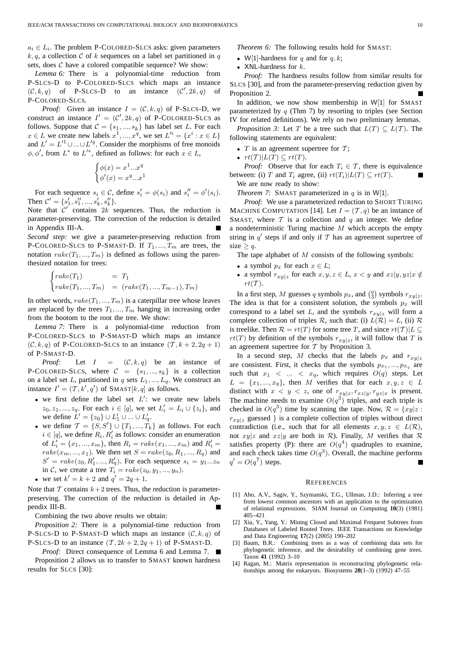$a_i \in L_i$ . The problem P-COLORED-SLCS asks: given parameters k, q, a collection C of k sequences on a label set partitioned in q sets, does  $C$  have a colored compatible sequence? We show:

*Lemma 6:* There is a polynomial-time reduction from P-SLCS-D to P-COLORED-SLCS which maps an instance  $(C, k, q)$  of P-SLCS-D to an instance  $(C', 2k, q)$  of P-COLORED-SLCS.

*Proof:* Given an instance  $I = (\mathcal{C}, k, q)$  of P-SLCS-D, we construct an instance  $I' = (C', 2k, q)$  of P-COLORED-SLCS as follows. Suppose that  $C = \{s_1, ..., s_k\}$  has label set L. For each  $x \in L$  we create new labels  $x^1, ..., x^q$ , we set  $L'^i = \{x^i : x \in L\}$ and  $L' = L'^1 \cup ... \cup L'^q$ . Consider the morphisms of free monoids  $\phi, \phi'$ , from  $L^*$  to  $L'^*$ , defined as follows: for each  $x \in L$ ,

$$
\begin{cases}\n\phi(x) = x^1...x^q \\
\phi'(x) = x^q...x^1\n\end{cases}
$$

For each sequence  $s_i \in \mathcal{C}$ , define  $s'_i = \phi(s_i)$  and  $s''_i = \phi'(s_i)$ . Then  $C' = \{s'_1, s''_1, ..., s'_k, s''_k\}.$ 

Note that  $C'$  contains  $2k$  sequences. Thus, the reduction is parameter-preserving. The correction of the reduction is detailed in Appendix III-A.

*Second step:* we give a parameter-preserving reduction from P-COLORED-SLCS to P-SMAST-D. If  $T_1, ..., T_m$  are trees, the notation  $rake(T_1, ..., T_m)$  is defined as follows using the parenthesized notation for trees:

$$
\begin{cases}\n\text{rake}(T_1) & = T_1 \\
\text{rake}(T_1, ..., T_m) & = (\text{rake}(T_1, ..., T_{m-1}), T_m)\n\end{cases}
$$

In other words,  $rake(T_1, ..., T_m)$  is a caterpillar tree whose leaves are replaced by the trees  $T_1, ..., T_m$  hanging in increasing order from the bootom to the root the tree. We show:

*Lemma 7:* There is a polynomial-time reduction from P-COLORED-SLCS to P-SMAST-D which maps an instance  $(C, k, q)$  of P-COLORED-SLCS to an instance  $(T, k + 2, 2q + 1)$ of P-SMAST-D.

*Proof:* Let  $I = (C, k, q)$  be an instance of P-COLORED-SLCS, where  $C = \{s_1, ..., s_k\}$  is a collection on a label set L, partitioned in q sets  $L_1, ..., L_q$ . We construct an instance  $I' = (T, k', q')$  of SMAST[k, q] as follows.

- we first define the label set  $L'$ : we create new labels  $z_0, z_1, ..., z_q$ . For each  $i \in [q]$ , we set  $L'_i = L_i \cup \{z_i\}$ , and we define  $L' = \{z_0\} \cup L'_1 \cup ... \cup L'_q$ .
- we define  $\mathcal{T} = \{S, S'\} \cup \{T_1, ..., T_k\}$  as follows. For each  $i \in [q]$ , we define  $R_i, R'_i$  as follows: consider an enumeration of  $L'_{i} = \{x_1, ..., x_m\}$ , then  $R_i = \text{rate}(x_1, ..., x_m)$  and  $R'_{i} =$  $rake(x_m, ..., x_1)$ . We then set  $S = \text{rate}(z_0, R_1, ..., R_q)$  and  $S' = \text{rate}(z_0, R'_1, ..., R'_q)$ . For each sequence  $s_i = y_1...z_n$ in C, we create a tree  $T_i = \text{rate}(z_0, y_1, ..., y_n)$ .
- we set  $k' = k + 2$  and  $q' = 2q + 1$ .

Note that  $T$  contains  $k+2$  trees. Thus, the reduction is parameterpreserving. The correction of the reduction is detailed in Appendix III-B.

Combining the two above results we obtain:

*Proposition 2:* There is a polynomial-time reduction from P-SLCS-D to P-SMAST-D which maps an instance  $(C, k, q)$  of P-SLCS-D to an instance  $(T, 2k + 2, 2q + 1)$  of P-SMAST-D.

*Proof:* Direct consequence of Lemma 6 and Lemma 7. Proposition 2 allows us to transfer to SMAST known hardness results for SLCS [30]:

*Theorem 6:* The following results hold for SMAST:

- W[1]-hardness for q and for  $q, k$ ;
- XNL-hardness for  $k$ .

*Proof:* The hardness results follow from similar results for SLCS [30], and from the parameter-preserving reduction given by Proposition 2.

In addition, we now show membership in  $W[1]$  for SMAST parameterized by  $q$  (Thm 7) by resorting to triples (see Section IV for related definitions). We rely on two preliminary lemmas.

*Proposition 3:* Let T be a tree such that  $L(T) \subseteq L(T)$ . The following statements are equivalent:

- $T$  is an agreement supertree for  $T$ ;
- $rt(T)|L(T) \subseteq rt(T)$ .

*Proof:* Observe that for each  $T_i \in \mathcal{T}$ , there is equivalence between: (i) T and  $T_i$  agree, (ii)  $rt(T_i)|L(T) \subseteq rt(T)$ . We are now ready to show:

*Theorem 7:* SMAST parameterized in  $q$  is in W[1].

*Proof:* We use a parameterized reduction to SHORT TURING MACHINE COMPUTATION [14]. Let  $I = (T, q)$  be an instance of SMAST, where  $T$  is a collection and  $q$  an integer. We define a nondeterministic Turing machine  $M$  which accepts the empty string in  $q'$  steps if and only if  $T$  has an agreement supertree of  $size > q$ .

The tape alphabet of  $M$  consists of the following symbols:

- a symbol  $p_x$  for each  $x \in L$ ;
- a symbol  $r_{xy|z}$  for each  $x, y, z \in L$ ,  $x < y$  and  $xz|y, yz|x \notin L$  $rt(T)$ .

In a first step, M guesses q symbols  $p_x$ , and  $\binom{q}{3}$  symbols  $r_{xy|z}$ . The idea is that for a consistent solution, the symbols  $p_x$  will correspond to a label set L, and the symbols  $r_{xy|z}$  will form a complete collection of triples R, such that: (i)  $L(\mathcal{R}) = L$ , (ii) R is treelike. Then  $\mathcal{R} = rt(T)$  for some tree T, and since  $rt(T)|L \subseteq$  $rt(T)$  by definition of the symbols  $r_{xy|z}$ , it will follow that T is an agreement supertree for  $T$  by Proposition 3.

In a second step, M checks that the labels  $p_x$  and  $r_{xy|z}$ are consistent. First, it checks that the symbols  $p_{x_1},..., p_{x_q}$  are such that  $x_1 < ... < x_q$ , which requires  $O(q)$  steps. Let  $L = \{x_1, ..., x_q\}$ , then M verifies that for each  $x, y, z \in L$ distinct with  $x < y < z$ , one of  $r_{xy|z}, r_{xz|y}, r_{yz|x}$  is present. The machine needs to examine  $O(q^3)$  triples, and each triple is checked in  $O(q^3)$  time by scanning the tape. Now,  $\mathcal{R} = \{xy | z : z \}$  $r_{xylz}$  guessed } is a complete collection of triples without direct contradiction (i.e., such that for all elements  $x, y, z \in L(\mathcal{R})$ , not  $xy|z$  and  $xz|y$  are both in  $\mathcal R$ ). Finally, M verifies that  $\mathcal R$ satisfies property (P): there are  $O(q^4)$  quadruples to examine, and each check takes time  $O(q^3)$ . Overall, the machine performs  $q' = O(q^7)$  steps.

#### **REFERENCES**

- [1] Aho, A.V., Sagiv, Y., Szymanski, T.G., Ullman, J.D.: Inferring a tree from lowest common ancestors with an application to the optimization of relational expressions. SIAM Journal on Computing **10**(3) (1981) 405–421
- [2] Xia, Y., Yang, Y.: Mining Closed and Maximal Frequent Subtrees from Databases of Labeled Rooted Trees. IEEE Transactions on Knowledge and Data Engineering **17**(2) (2005) 190–202
- [3] Baum, B.R.: Combining trees as a way of combining data sets for phylogenetic inference, and the desirability of combining gene trees. Taxon **41** (1992) 3–10
- [4] Ragan, M.: Matrix representation in reconstructing phylogenetic relationships among the eukaryots. Biosystems **28**(1–3) (1992) 47–55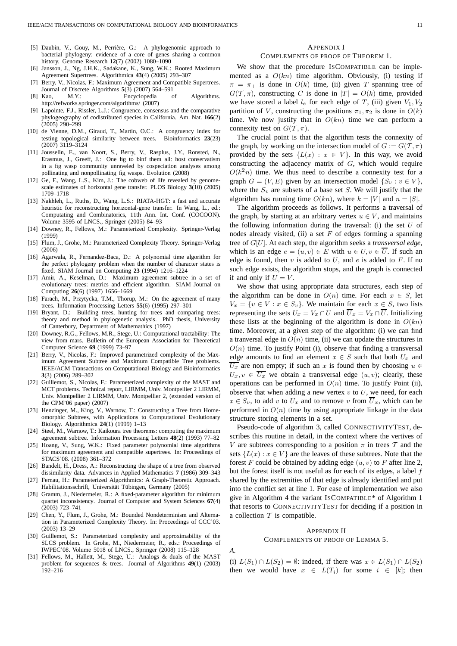- [5] Daubin, V., Gouy, M., Perrière, G.: A phylogenomic approach to bacterial phylogeny: evidence of a core of genes sharing a common history. Genome Research **12**(7) (2002) 1080–1090
- [6] Jansson, J., Ng, J.H.K., Sadakane, K., Sung, W.K.: Rooted Maximum Agreement Supertrees. Algorithmica **43**(4) (2005) 293–307
- [7] Berry, V., Nicolas, F.: Maximum Agreement and Compatible Supertrees. Journal of Discrete Algorithms **5**(3) (2007) 564–591
- [8] Kao, M.Y.: Encyclopedia of Algorithms. http://refworks.springer.com/algorithms/ (2007)
- [9] Lapointe, F.J., Rissler, L.J.: Congruence, consensus and the comparative phylogeography of codistributed species in California. Am. Nat. **166**(2) (2005) 290–299
- [10] de Vienne, D.M., Giraud, T., Martin, O.C.: A congruency index for testing topological similarity between trees. Bioinformatics **23**(23) (2007) 3119–3124
- [11] Jousselin, E., van Noort, S., Berry, V., Rasplus, J.Y., Ronsted, N., Erasmus, J., Greeff, J.: One fig to binf them all: host conservatism in a fig wasp community unraveled by cospeciation analyses among pollinating and nonpollinating fig wasps. Evolution (2008)
- [12] Ge, F., Wang, L.S., Kim, J.: The cobweb of life revealed by genomescale estimates of horizontal gene transfer. PLOS Biology **3**(10) (2005) 1709–1718
- [13] Nakhleh, L., Ruths, D., Wang, L.S.: RIATA-HGT: a fast and accurate heuristic for reconstructing horizontal-gene transfer. In Wang, L., ed.: Computating and Combinatorics, 11th Ann. Int. Conf. (COCOON). Volume 3595 of LNCS., Springer (2005) 84–93
- [14] Downey, R., Fellows, M.: Parameterized Complexity. Springer-Verlag (1999)
- [15] Flum, J., Grohe, M.: Parameterized Complexity Theory. Springer-Verlag (2006)
- [16] Agarwala, R., Fernandez-Baca, D.: A polynomial time algorithm for the perfect phylogeny problem when the number of character states is fixed. SIAM Journal on Computing **23** (1994) 1216–1224
- [17] Amir, A., Keselman, D.: Maximum agreement subtree in a set of evolutionary trees: metrics and efficient algorithm. SIAM Journal on Computing **26**(6) (1997) 1656–1669
- [18] Farach, M., Przytycka, T.M., Thorup, M.: On the agreement of many trees. Information Processing Letters **55**(6) (1995) 297–301
- [19] Bryant, D.: Building trees, hunting for trees and comparing trees: theory and method in phylogenetic analysis. PhD thesis, University of Canterbury, Department of Mathemathics (1997)
- [20] Downey, R.G., Fellows, M.R., Stege, U.: Computational tractability: The view from mars. Bulletin of the European Association for Theoretical Computer Science **69** (1999) 73–97
- [21] Berry, V., Nicolas, F.: Improved parametrized complexity of the Maximum Agreement Subtree and Maximum Compatible Tree problems. IEEE/ACM Transactions on Computational Biology and Bioinformatics **3**(3) (2006) 289–302
- [22] Guillemot, S., Nicolas, F.: Parameterized complexity of the MAST and MCT problems. Technical report, LIRMM, Univ. Montpellier 2 LIRMM, Univ. Montpellier 2 LIRMM, Univ. Montpellier 2, (extended version of the CPM'06 paper) (2007)
- [23] Henzinger, M., King, V., Warnow, T.: Constructing a Tree from Homeomorphic Subtrees, with Applications to Computational Evolutionary Biology. Algorithmica **24**(1) (1999) 1–13
- [24] Steel, M., Warnow, T.: Kaikoura tree theorems: computing the maximum agreement subtree. Information Processing Letters **48**(2) (1993) 77–82
- [25] Hoang, V., Sung, W.K.: Fixed parameter polynomial time algorithms for maximum agreement and compatible supertrees. In: Proceedings of STACS'08. (2008) 361–372
- [26] Bandelt, H., Dress, A.: Reconstructing the shape of a tree from observed dissimilarity data. Advances in Applied Mathematics **7** (1986) 309–343
- [27] Fernau, H.: Parameterized Algorithmics: A Graph-Theoretic Approach. Habilitationsschrift, Universität Tübingen, Germany (2005)
- [28] Gramm, J., Niedermeier, R.: A fixed-parameter algorithm for minimum quartet inconsistency. Journal of Computer and System Sciences **67**(4) (2003) 723–741
- [29] Chen, Y., Flum, J., Grohe, M.: Bounded Nondeterminism and Alternation in Parameterized Complexity Theory. In: Proceedings of CCC'03. (2003) 13–29
- [30] Guillemot, S.: Parameterized complexity and approximability of the SLCS problem. In Grohe, M., Niedermeier, R., eds.: Proceedings of IWPEC'08. Volume 5018 of LNCS., Springer (2008) 115–128
- [31] Fellows, M., Hallett, M., Stege, U.: Analogs & duals of the MAST problem for sequences & trees. Journal of Algorithms **49**(1) (2003) 192–216

#### APPENDIX I

# COMPLEMENTS OF PROOF OF THEOREM 1.

We show that the procedure ISCOMPATIBLE can be implemented as a  $O(kn)$  time algorithm. Obviously, (i) testing if  $\pi = \pi_{\perp}$  is done in  $O(k)$  time, (ii) given T spanning tree of  $G(T, \pi)$ , constructing C is done in  $|T| = O(k)$  time, provided we have stored a label  $l_e$  for each edge of T, (iii) given  $V_1, V_2$ partition of V, constructing the positions  $\pi_1, \pi_2$  is done in  $O(k)$ time. We now justify that in  $O(kn)$  time we can perform a connexity test on  $G(\mathcal{T}, \pi)$ .

The crucial point is that the algorithm tests the connexity of the graph, by working on the intersection model of  $G := G(\mathcal{T}, \pi)$ provided by the sets  $\{L(x) : x \in V\}$ . In this way, we avoid constructing the adjacency matrix of  $G$ , which would require  $O(k<sup>2</sup>n)$  time. We thus need to describe a connexity test for a graph  $G = (V, E)$  given by an intersection model  $\{S_v : v \in V\}$ , where the  $S_v$  are subsets of a base set S. We will justify that the algorithm has running time  $O(kn)$ , where  $k = |V|$  and  $n = |S|$ .

The algorithm proceeds as follows. It performs a traversal of the graph, by starting at an arbitrary vertex  $u \in V$ , and maintains the following information during the traversal: (i) the set  $U$  of nodes already visited, (ii) a set  $F$  of edges forming a spanning tree of G[U]. At each step, the algorithm seeks a *transversal edge*, which is an edge  $e = (u, v) \in E$  with  $u \in U, v \in \overline{U}$ . If such an edge is found, then  $v$  is added to  $U$ , and  $e$  is added to  $F$ . If no such edge exists, the algorithm stops, and the graph is connected if and only if  $U = V$ .

We show that using appropriate data structures, each step of the algorithm can be done in  $O(n)$  time. For each  $x \in S$ , let  $V_x = \{v \in V : x \in S_v\}$ . We maintain for each  $x \in S$ , two lists representing the sets  $U_x = V_x \cap U$  and  $\overline{U}_x = V_x \cap \overline{U}$ . Initializing these lists at the beginning of the algorithm is done in  $O(kn)$ time. Moreover, at a given step of the algorithm: (i) we can find a tranversal edge in  $O(n)$  time, (ii) we can update the structures in  $O(n)$  time. To justify Point (i), observe that finding a transversal edge amounts to find an element  $x \in S$  such that both  $U_x$  and  $\overline{U_x}$  are non empty; if such an x is found then by choosing  $u \in$  $U_x, v \in \overline{U_x}$  we obtain a transversal edge  $(u, v)$ ; clearly, these operations can be performed in  $O(n)$  time. To justify Point (ii), observe that when adding a new vertex  $v$  to  $U$ , we need, for each  $x \in S_v$ , to add v to  $U_x$  and to remove v from  $\overline{U}_x$ , which can be performed in  $O(n)$  time by using appropriate linkage in the data structure storing elements in a set.

Pseudo-code of algorithm 3, called CONNECTIVITYTEST, describes this routine in detail, in the context where the vertives of V are subtrees corresponding to a position  $\pi$  in trees  $\mathcal T$  and the sets  $\{L(x) : x \in V\}$  are the leaves of these subtrees. Note that the forest F could be obtained by adding edge  $(u, v)$  to F after line 2, but the forest itself is not useful as for each of its edges, a label f shared by the extremities of that edge is already identified and put into the conflict set at line 1. For ease of implementation we also give in Algorithm 4 the variant ISCOMPATIBLE\* of Algorithm 1 that resorts to CONNECTIVITYTEST for deciding if a position in a collection  $T$  is compatible.

#### APPENDIX II

#### COMPLEMENTS OF PROOF OF LEMMA 5.

*A.*

(i)  $L(S_1) \cap L(S_2) = \emptyset$ : indeed, if there was  $x \in L(S_1) \cap L(S_2)$ then we would have  $x \in L(T_i)$  for some  $i \in [k]$ ; then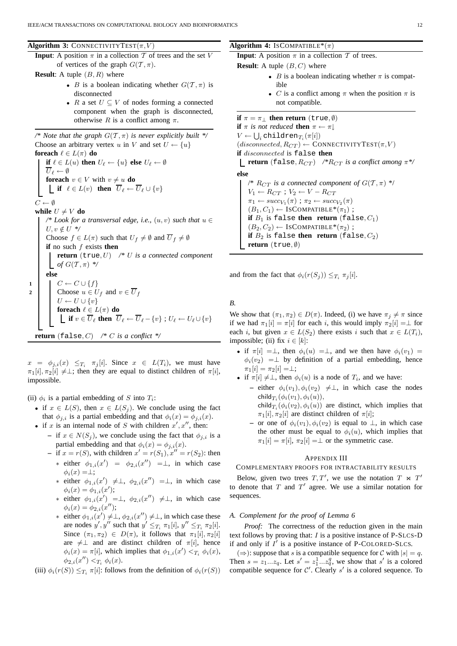**Algorithm 3:** CONNECTIVITYTEST $(\pi, V)$ 

**Input**: A position  $\pi$  in a collection T of trees and the set V of vertices of the graph  $G(\mathcal{T}, \pi)$ .

**Result:** A tuple  $(B, R)$  where

- B is a boolean indicating whether  $G(\mathcal{T}, \pi)$  is disconnected
- R a set  $U \subseteq V$  of nodes forming a connected component when the graph is disconnected, otherwise R is a conflict among  $\pi$ .

/\* Note that the graph  $G(T, \pi)$  *is never explicitly built \*/* Choose an arbitrary vertex u in V and set  $U \leftarrow \{u\}$ **foreach**  $\ell \in L(\pi)$  **do if**  $\ell \in L(u)$  **then**  $U_{\ell} \leftarrow \{u\}$  **else**  $U_{\ell} \leftarrow \emptyset$  $\overline{U}_\ell \leftarrow \emptyset$ **foreach**  $v \in V$  with  $v \neq u$  **do if**  $\ell \in L(v)$  **then**  $\overline{U}_{\ell} \leftarrow \overline{U}_{\ell} \cup \{v\}$  $C \leftarrow \emptyset$ **while**  $U \neq V$  **do** */\* Look for a transversal edge, i.e.,* (u, v) *such that* u ∈  $U, v \notin U$  \*/ Choose  $f \in L(\pi)$  such that  $U_f \neq \emptyset$  and  $\overline{U}_f \neq \emptyset$ **if** no such f exists **then return** (true, U) */\** U *is a connected component of*  $G(T, \pi)$  \*/ **else**  $1 \mid C \leftarrow C \cup \{f\}$ **2** Choose  $u \in U_f$  and  $v \in \overline{U}_f$  $U \leftarrow U \cup \{v\}$ **foreach**  $\ell \in L(\pi)$  **do if**  $v \in \overline{U}_\ell$  then  $\overline{U}_\ell \leftarrow \overline{U}_\ell - \{v\}$  ;  $U_\ell \leftarrow U_\ell \cup \{v\}$ **return** (false, C) */\** C *is a conflict \*/*

 $x = \phi_{j,i}(x) \leq T_i \pi_j[i]$ . Since  $x \in L(T_i)$ , we must have  $\pi_1[i], \pi_2[i] \neq \perp$ ; then they are equal to distinct children of  $\pi[i]$ , impossible.

(ii)  $\phi_i$  is a partial embedding of S into  $T_i$ :

- if  $x \in L(S)$ , then  $x \in L(S_i)$ . We conclude using the fact that  $\phi_{i,i}$  is a partial embedding and that  $\phi_i(x) = \phi_{i,i}(x)$ .
- if x is an internal node of S with children  $x', x''$ , then:
	- **−** if  $x \in N(S_i)$ , we conclude using the fact that  $\phi_{i,i}$  is a partial embedding and that  $\phi_i(x) = \phi_{j,i}(x)$ .
	- if  $x = r(S)$ , with children  $x' = r(S_1)$ ,  $x'' = r(S_2)$ : then ∗ either  $\phi_{1,i}(x') = \phi_{2,i}(x'') = \bot$ , in which case
		- $\phi_i(x) = \perp;$ ∗ either  $\phi_{1,i}(x') \neq \perp$ ,  $\phi_{2,i}(x'') = \perp$ , in which case  $\phi_i(x) = \phi_{1,i}(x');$
		- ∗ either  $\phi_{1,i}(x') = \perp, \ \phi_{2,i}(x'') \neq \perp, \text{ in which case}$  $\phi_i(x) = \phi_{2,i}(x'');$
		- ∗ either  $\phi_{1,i}(x') \neq \perp, \phi_{2,i}(x'') \neq \perp$ , in which case these are nodes  $y', y''$  such that  $y' \leq_{T_i} \pi_1[i], y'' \leq_{T_i} \pi_2[i]$ . Since  $(\pi_1, \pi_2) \in D(\pi)$ , it follows that  $\pi_1[i], \pi_2[i]$ are  $\neq \perp$  and are distinct children of  $\pi[i]$ , hence  $\phi_i(x) = \pi[i]$ , which implies that  $\phi_{1,i}(x') <_{T_i} \phi_i(x)$ ,  $\phi_{2,i}(x'') <_{T_i} \phi_i(x)$ .
- (iii)  $\phi_i(r(S)) \leq_{T_i} \pi[i]$ : follows from the definition of  $\phi_i(r(S))$

#### **Algorithm 4:** ISCOMPATIBLE\* $(\pi)$

**Input**: A position  $\pi$  in a collection  $\mathcal T$  of trees.

**Result:** A tuple  $(B, C)$  where

- B is a boolean indicating whether  $\pi$  is compatible
- C is a conflict among  $\pi$  when the position  $\pi$  is not compatible.

**if**  $\pi = \pi_1$  **then return** (true,  $\emptyset$ ) **if**  $\pi$  *is not reduced* **then**  $\pi \leftarrow \pi$  $V \leftarrow \bigcup_i \texttt{children}_{T_i}(\pi[i])$  $(disconnected, R_{CT}) \leftarrow \text{CONNETIVITYTEST}(\pi, V)$ **if** disconnected is false **then return** (false,  $R_{CT}$ ) /\* $R_{CT}$  *is a conflict among*  $\pi$ \*/ **else**  $\sqrt{\pi R_{CT}}$  *is a connected component of*  $G(T, \pi)$  \*/

 $V_1 \leftarrow R_{CT}$ ;  $V_2 \leftarrow V - R_{CT}$  $\pi_1 \leftarrow succ_{V_1}(\pi)$ ;  $\pi_2 \leftarrow succ_{V_2}(\pi)$  $(B_1, C_1) \leftarrow \text{ISCOMPATHLE}^*(\pi_1)$ ; **if**  $B_1$  is false **then return** (false,  $C_1$ )  $(B_2, C_2) \leftarrow \text{ISCOMPATHILE}^*(\pi_2)$ ; **if**  $B_2$  is false **then return** (false,  $C_2$ ) **return** (true, ∅)

and from the fact that  $\phi_i(r(S_j)) \leq T_i \pi_j[i]$ .

*B.*

We show that  $(\pi_1, \pi_2) \in D(\pi)$ . Indeed, (i) we have  $\pi_j \neq \pi$  since if we had  $\pi_1[i] = \pi[i]$  for each i, this would imply  $\pi_2[i] = \bot$  for each i, but given  $x \in L(S_2)$  there exists i such that  $x \in L(T_i)$ , impossible; (ii) fix  $i \in [k]$ :

- if  $\pi[i] = \perp$ , then  $\phi_i(u) = \perp$ , and we then have  $\phi_i(v_1) =$  $\phi_i(v_2) = \perp$  by definition of a partial embedding, hence  $\pi_1[i] = \pi_2[i] = \perp;$
- if  $\pi[i] \neq \perp$ , then  $\phi_i(u)$  is a node of  $T_i$ , and we have:
	- **–** either  $\phi_i(v_1), \phi_i(v_2) \neq \perp$ , in which case the nodes  $\mathsf{child}_{T_i}(\phi_i(v_1), \phi_i(u)),$ child $_{T_i}(\phi_i(v_2), \phi_i(u))$  are distinct, which implies that
		- $\pi_1[i], \pi_2[i]$  are distinct children of  $\pi[i]$ ; **–** or one of φi(v1), φi(v2) is equal to ⊥, in which case the other must be equal to  $\phi_i(u)$ , which implies that  $\pi_1[i] = \pi[i], \pi_2[i] = \perp$  or the symmetric case.

#### APPENDIX III

### COMPLEMENTARY PROOFS FOR INTRACTABILITY RESULTS

Below, given two trees  $T, T'$ , we use the notation  $T \Join T'$ to denote that  $T$  and  $T'$  agree. We use a similar notation for sequences.

# *A. Complement for the proof of Lemma 6*

*Proof:* The correctness of the reduction given in the main text follows by proving that:  $I$  is a positive instance of P-SLCS-D if and only if  $I'$  is a positive instance of P-COLORED-SLCS.

(⇒): suppose that s is a compatible sequence for C with  $|s| = q$ . Then  $s = z_1...z_q$ . Let  $s' = z_1^1...z_q^q$ , we show that s' is a colored compatible sequence for  $C'$ . Clearly s' is a colored sequence. To